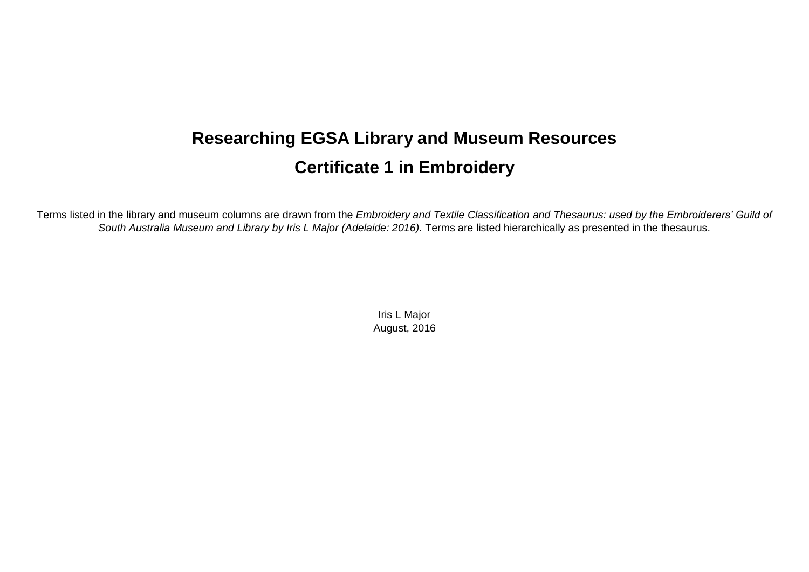## **Researching EGSA Library and Museum Resources Certificate 1 in Embroidery**

Terms listed in the library and museum columns are drawn from the *Embroidery and Textile Classification and Thesaurus: used by the Embroiderers' Guild of South Australia Museum and Library by Iris L Major (Adelaide: 2016).* Terms are listed hierarchically as presented in the thesaurus*.*

> Iris L Major August, 2016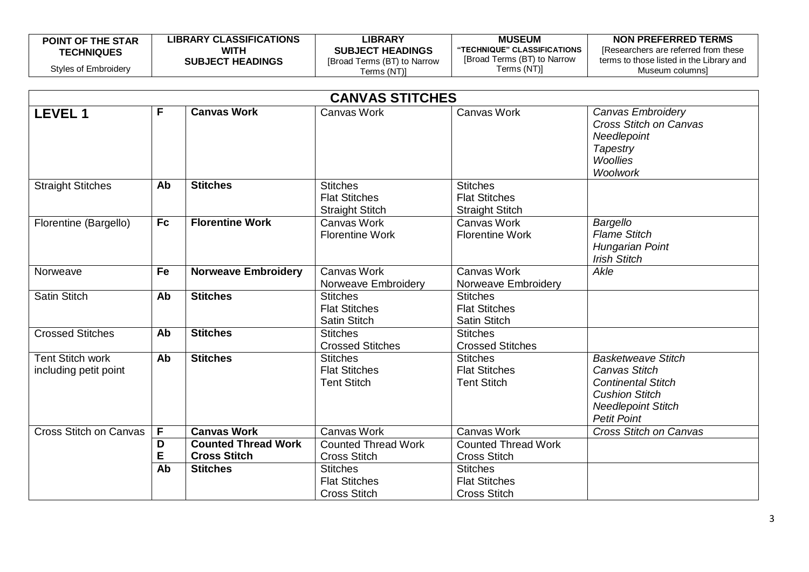| <b>POINT OF THE STAR</b> | <b>LIBRARY CLASSIFICATIONS</b> | LIBRARY                     | <b>MUSEUM</b>               | NON PREFERRED TERMS                      |
|--------------------------|--------------------------------|-----------------------------|-----------------------------|------------------------------------------|
| <b>TECHNIQUES</b>        | WITH                           | <b>SUBJECT HEADINGS</b>     | "TECHNIQUE" CLASSIFICATIONS | [Researchers are referred from these     |
|                          | <b>SUBJECT HEADINGS</b>        | [Broad Terms (BT) to Narrow | [Broad Terms (BT) to Narrow | terms to those listed in the Library and |
| Styles of Embroidery     |                                | Terms (NT)]                 | Terms (NT)]                 | Museum columnsi                          |

|                                                  |           |                                                   | <b>CANVAS STITCHES</b>                                            |                                                                   |                                                                                                                                                     |
|--------------------------------------------------|-----------|---------------------------------------------------|-------------------------------------------------------------------|-------------------------------------------------------------------|-----------------------------------------------------------------------------------------------------------------------------------------------------|
| <b>LEVEL 1</b>                                   | F         | <b>Canvas Work</b>                                | <b>Canvas Work</b>                                                | <b>Canvas Work</b>                                                | Canvas Embroidery<br><b>Cross Stitch on Canvas</b><br>Needlepoint<br>Tapestry<br><b>Woollies</b><br>Woolwork                                        |
| <b>Straight Stitches</b>                         | Ab        | <b>Stitches</b>                                   | <b>Stitches</b><br><b>Flat Stitches</b><br><b>Straight Stitch</b> | <b>Stitches</b><br><b>Flat Stitches</b><br><b>Straight Stitch</b> |                                                                                                                                                     |
| Florentine (Bargello)                            | <b>Fc</b> | <b>Florentine Work</b>                            | Canvas Work<br><b>Florentine Work</b>                             | Canvas Work<br><b>Florentine Work</b>                             | Bargello<br><b>Flame Stitch</b><br>Hungarian Point<br><b>Irish Stitch</b>                                                                           |
| Norweave                                         | Fe        | <b>Norweave Embroidery</b>                        | Canvas Work<br>Norweave Embroidery                                | Canvas Work<br>Norweave Embroidery                                | Akle                                                                                                                                                |
| <b>Satin Stitch</b>                              | Ab        | <b>Stitches</b>                                   | <b>Stitches</b><br><b>Flat Stitches</b><br><b>Satin Stitch</b>    | <b>Stitches</b><br><b>Flat Stitches</b><br><b>Satin Stitch</b>    |                                                                                                                                                     |
| <b>Crossed Stitches</b>                          | Ab        | <b>Stitches</b>                                   | <b>Stitches</b><br><b>Crossed Stitches</b>                        | <b>Stitches</b><br><b>Crossed Stitches</b>                        |                                                                                                                                                     |
| <b>Tent Stitch work</b><br>including petit point | Ab        | <b>Stitches</b>                                   | <b>Stitches</b><br><b>Flat Stitches</b><br><b>Tent Stitch</b>     | <b>Stitches</b><br><b>Flat Stitches</b><br><b>Tent Stitch</b>     | <b>Basketweave Stitch</b><br>Canvas Stitch<br><b>Continental Stitch</b><br><b>Cushion Stitch</b><br><b>Needlepoint Stitch</b><br><b>Petit Point</b> |
| <b>Cross Stitch on Canvas</b>                    | F         | <b>Canvas Work</b>                                | Canvas Work                                                       | Canvas Work                                                       | <b>Cross Stitch on Canvas</b>                                                                                                                       |
|                                                  | D<br>E    | <b>Counted Thread Work</b><br><b>Cross Stitch</b> | <b>Counted Thread Work</b><br><b>Cross Stitch</b>                 | <b>Counted Thread Work</b><br><b>Cross Stitch</b>                 |                                                                                                                                                     |
|                                                  | Ab        | <b>Stitches</b>                                   | <b>Stitches</b><br><b>Flat Stitches</b><br><b>Cross Stitch</b>    | <b>Stitches</b><br><b>Flat Stitches</b><br><b>Cross Stitch</b>    |                                                                                                                                                     |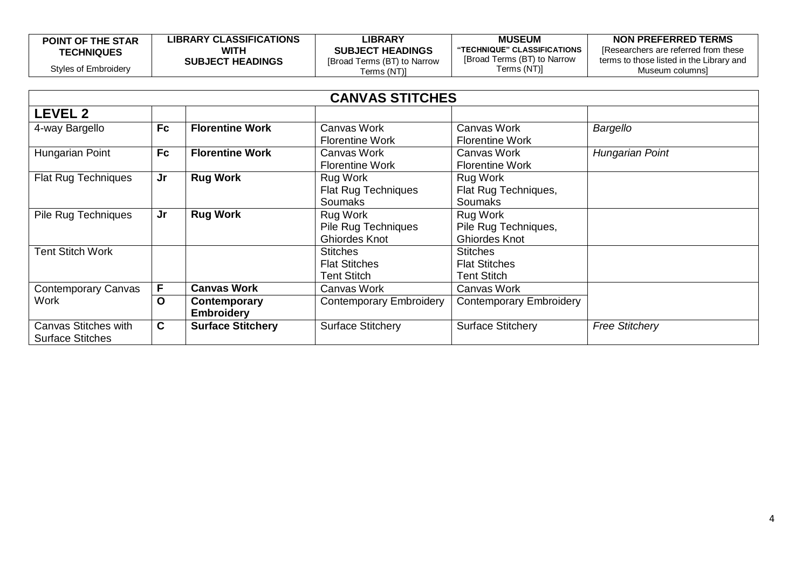| <b>POINT OF THE STAR</b> | <b>LIBRARY CLASSIFICATIONS</b> | LIBRARY                     | <b>MUSEUM</b>               | NON PREFERRED TERMS                      |
|--------------------------|--------------------------------|-----------------------------|-----------------------------|------------------------------------------|
| <b>TECHNIQUES</b>        | <b>WITH</b>                    | <b>SUBJECT HEADINGS</b>     | "TECHNIQUE" CLASSIFICATIONS | Researchers are referred from these      |
|                          | <b>SUBJECT HEADINGS</b>        | [Broad Terms (BT) to Narrow | [Broad Terms (BT) to Narrow | terms to those listed in the Library and |
| Styles of Embroidery     |                                | Terms (NT)]                 | Terms (NT)]                 | Museum columnsl                          |

|                                                 |           |                                   | <b>CANVAS STITCHES</b>                                  |                                                               |                        |
|-------------------------------------------------|-----------|-----------------------------------|---------------------------------------------------------|---------------------------------------------------------------|------------------------|
| LEVEL 2                                         |           |                                   |                                                         |                                                               |                        |
| 4-way Bargello                                  | <b>Fc</b> | <b>Florentine Work</b>            | Canvas Work<br><b>Florentine Work</b>                   | Canvas Work<br><b>Florentine Work</b>                         | Bargello               |
| Hungarian Point                                 | <b>Fc</b> | <b>Florentine Work</b>            | Canvas Work<br><b>Florentine Work</b>                   | Canvas Work<br><b>Florentine Work</b>                         | <b>Hungarian Point</b> |
| <b>Flat Rug Techniques</b>                      | Jr        | <b>Rug Work</b>                   | Rug Work<br>Flat Rug Techniques<br><b>Soumaks</b>       | Rug Work<br>Flat Rug Techniques,<br><b>Soumaks</b>            |                        |
| <b>Pile Rug Techniques</b>                      | Jr        | <b>Rug Work</b>                   | Rug Work<br>Pile Rug Techniques<br><b>Ghiordes Knot</b> | Rug Work<br>Pile Rug Techniques,<br><b>Ghiordes Knot</b>      |                        |
| <b>Tent Stitch Work</b>                         |           |                                   | <b>Stitches</b><br><b>Flat Stitches</b><br>Tent Stitch  | <b>Stitches</b><br><b>Flat Stitches</b><br><b>Tent Stitch</b> |                        |
| <b>Contemporary Canvas</b>                      | F         | <b>Canvas Work</b>                | Canvas Work                                             | Canvas Work                                                   |                        |
| Work                                            | O         | Contemporary<br><b>Embroidery</b> | <b>Contemporary Embroidery</b>                          | <b>Contemporary Embroidery</b>                                |                        |
| Canvas Stitches with<br><b>Surface Stitches</b> | C         | <b>Surface Stitchery</b>          | <b>Surface Stitchery</b>                                | <b>Surface Stitchery</b>                                      | <b>Free Stitchery</b>  |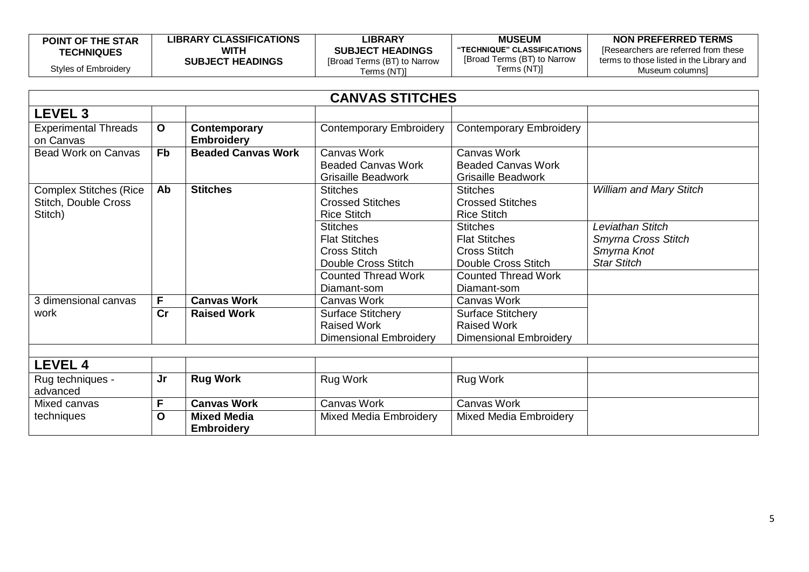| <b>POINT OF THE STAR</b> | <b>LIBRARY CLASSIFICATIONS</b> | LIBRARY                     | <b>MUSEUM</b>                | NON PREFERRED TERMS                      |
|--------------------------|--------------------------------|-----------------------------|------------------------------|------------------------------------------|
| <b>TECHNIQUES</b>        | WITH                           | <b>SUBJECT HEADINGS</b>     | "TECHNIQUE" CLASSIFICATIONS" | Researchers are referred from these      |
|                          | <b>SUBJECT HEADINGS</b>        | [Broad Terms (BT) to Narrow | [Broad Terms (BT) to Narrow  | terms to those listed in the Library and |
| Styles of Embroidery     |                                | Terms (NT)]                 | Terms (NT)]                  | Museum columns]                          |

|                                                                  |              |                                         | <b>CANVAS STITCHES</b>                                                                                                 |                                                                                                                 |                                                          |
|------------------------------------------------------------------|--------------|-----------------------------------------|------------------------------------------------------------------------------------------------------------------------|-----------------------------------------------------------------------------------------------------------------|----------------------------------------------------------|
| <b>LEVEL 3</b>                                                   |              |                                         |                                                                                                                        |                                                                                                                 |                                                          |
| <b>Experimental Threads</b><br>on Canvas                         | $\mathbf{o}$ | Contemporary<br><b>Embroidery</b>       | <b>Contemporary Embroidery</b>                                                                                         | <b>Contemporary Embroidery</b>                                                                                  |                                                          |
| <b>Bead Work on Canvas</b>                                       | <b>Fb</b>    | <b>Beaded Canvas Work</b>               | Canvas Work<br><b>Beaded Canvas Work</b><br><b>Grisaille Beadwork</b>                                                  | Canvas Work<br><b>Beaded Canvas Work</b><br><b>Grisaille Beadwork</b>                                           |                                                          |
| <b>Complex Stitches (Rice</b><br>Stitch, Double Cross<br>Stitch) | Ab           | <b>Stitches</b>                         | <b>Stitches</b><br><b>Crossed Stitches</b><br><b>Rice Stitch</b><br><b>Stitches</b>                                    | <b>Stitches</b><br><b>Crossed Stitches</b><br><b>Rice Stitch</b><br><b>Stitches</b>                             | <b>William and Mary Stitch</b><br>Leviathan Stitch       |
|                                                                  |              |                                         | <b>Flat Stitches</b><br><b>Cross Stitch</b><br><b>Double Cross Stitch</b><br><b>Counted Thread Work</b><br>Diamant-som | <b>Flat Stitches</b><br><b>Cross Stitch</b><br>Double Cross Stitch<br><b>Counted Thread Work</b><br>Diamant-som | Smyrna Cross Stitch<br>Smyrna Knot<br><b>Star Stitch</b> |
| 3 dimensional canvas                                             | F.           | <b>Canvas Work</b>                      | Canvas Work                                                                                                            | Canvas Work                                                                                                     |                                                          |
| work                                                             | cr           | <b>Raised Work</b>                      | <b>Surface Stitchery</b><br><b>Raised Work</b><br><b>Dimensional Embroidery</b>                                        | <b>Surface Stitchery</b><br><b>Raised Work</b><br><b>Dimensional Embroidery</b>                                 |                                                          |
| <b>LEVEL 4</b>                                                   |              |                                         |                                                                                                                        |                                                                                                                 |                                                          |
| Rug techniques -<br>advanced                                     | <b>Jr</b>    | <b>Rug Work</b>                         | Rug Work                                                                                                               | Rug Work                                                                                                        |                                                          |
| Mixed canvas                                                     | F            | <b>Canvas Work</b>                      | Canvas Work                                                                                                            | Canvas Work                                                                                                     |                                                          |
| techniques                                                       | O            | <b>Mixed Media</b><br><b>Embroidery</b> | <b>Mixed Media Embroidery</b>                                                                                          | <b>Mixed Media Embroidery</b>                                                                                   |                                                          |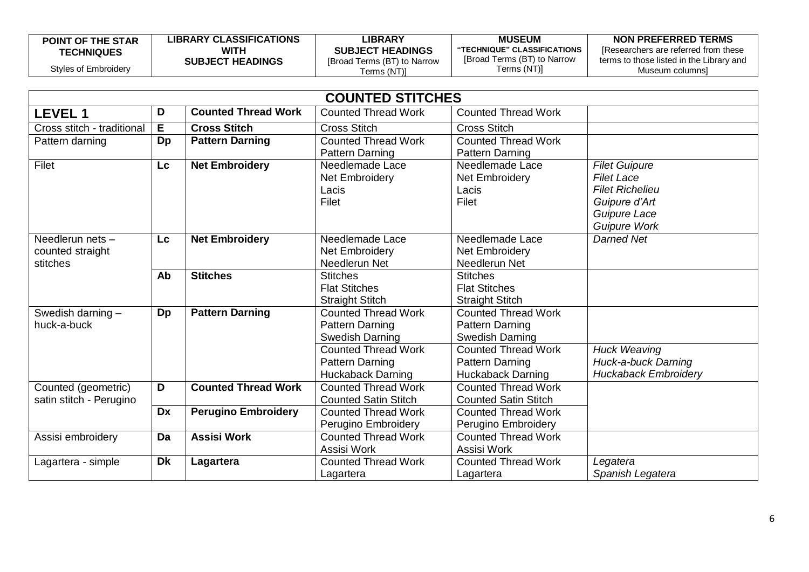| <b>POINT OF THE STAR</b> | <b>LIBRARY CLASSIFICATIONS</b> | LIBRARY                     | <b>MUSEUM</b>               | NON PREFERRED TERMS                      |
|--------------------------|--------------------------------|-----------------------------|-----------------------------|------------------------------------------|
| <b>TECHNIQUES</b>        | WITH                           | <b>SUBJECT HEADINGS</b>     | "TECHNIQUE" CLASSIFICATIONS | [Researchers are referred from these     |
|                          | <b>SUBJECT HEADINGS</b>        | [Broad Terms (BT) to Narrow | [Broad Terms (BT) to Narrow | terms to those listed in the Library and |
| Styles of Embroidery     |                                | Terms (NT)]                 | Terms (NT)]                 | Museum columnsì                          |

|                            |           |                            | <b>COUNTED STITCHES</b>     |                             |                             |
|----------------------------|-----------|----------------------------|-----------------------------|-----------------------------|-----------------------------|
| <b>LEVEL1</b>              | D         | <b>Counted Thread Work</b> | <b>Counted Thread Work</b>  | <b>Counted Thread Work</b>  |                             |
| Cross stitch - traditional | E.        | <b>Cross Stitch</b>        | <b>Cross Stitch</b>         | <b>Cross Stitch</b>         |                             |
| Pattern darning            | Dp        | <b>Pattern Darning</b>     | <b>Counted Thread Work</b>  | <b>Counted Thread Work</b>  |                             |
|                            |           |                            | <b>Pattern Darning</b>      | <b>Pattern Darning</b>      |                             |
| Filet                      | Lc        | <b>Net Embroidery</b>      | Needlemade Lace             | Needlemade Lace             | <b>Filet Guipure</b>        |
|                            |           |                            | <b>Net Embroidery</b>       | <b>Net Embroidery</b>       | <b>Filet Lace</b>           |
|                            |           |                            | Lacis                       | Lacis                       | <b>Filet Richelieu</b>      |
|                            |           |                            | Filet                       | Filet                       | Guipure d'Art               |
|                            |           |                            |                             |                             | Guipure Lace                |
|                            |           |                            |                             |                             | <b>Guipure Work</b>         |
| Needlerun nets-            | Lc        | <b>Net Embroidery</b>      | Needlemade Lace             | Needlemade Lace             | <b>Darned Net</b>           |
| counted straight           |           |                            | Net Embroidery              | Net Embroidery              |                             |
| stitches                   |           |                            | Needlerun Net               | Needlerun Net               |                             |
|                            | Ab        | <b>Stitches</b>            | <b>Stitches</b>             | <b>Stitches</b>             |                             |
|                            |           |                            | <b>Flat Stitches</b>        | <b>Flat Stitches</b>        |                             |
|                            |           |                            | <b>Straight Stitch</b>      | <b>Straight Stitch</b>      |                             |
| Swedish darning $-$        | Dp        | <b>Pattern Darning</b>     | <b>Counted Thread Work</b>  | <b>Counted Thread Work</b>  |                             |
| huck-a-buck                |           |                            | Pattern Darning             | Pattern Darning             |                             |
|                            |           |                            | <b>Swedish Darning</b>      | Swedish Darning             |                             |
|                            |           |                            | <b>Counted Thread Work</b>  | <b>Counted Thread Work</b>  | <b>Huck Weaving</b>         |
|                            |           |                            | <b>Pattern Darning</b>      | Pattern Darning             | Huck-a-buck Darning         |
|                            |           |                            | <b>Huckaback Darning</b>    | <b>Huckaback Darning</b>    | <b>Huckaback Embroidery</b> |
| Counted (geometric)        | D         | <b>Counted Thread Work</b> | <b>Counted Thread Work</b>  | <b>Counted Thread Work</b>  |                             |
| satin stitch - Perugino    |           |                            | <b>Counted Satin Stitch</b> | <b>Counted Satin Stitch</b> |                             |
|                            | <b>Dx</b> | <b>Perugino Embroidery</b> | <b>Counted Thread Work</b>  | <b>Counted Thread Work</b>  |                             |
|                            |           |                            | Perugino Embroidery         | Perugino Embroidery         |                             |
| Assisi embroidery          | Da        | <b>Assisi Work</b>         | <b>Counted Thread Work</b>  | <b>Counted Thread Work</b>  |                             |
|                            |           |                            | Assisi Work                 | Assisi Work                 |                             |
| Lagartera - simple         | <b>Dk</b> | Lagartera                  | <b>Counted Thread Work</b>  | <b>Counted Thread Work</b>  | Legatera                    |
|                            |           |                            | Lagartera                   | Lagartera                   | Spanish Legatera            |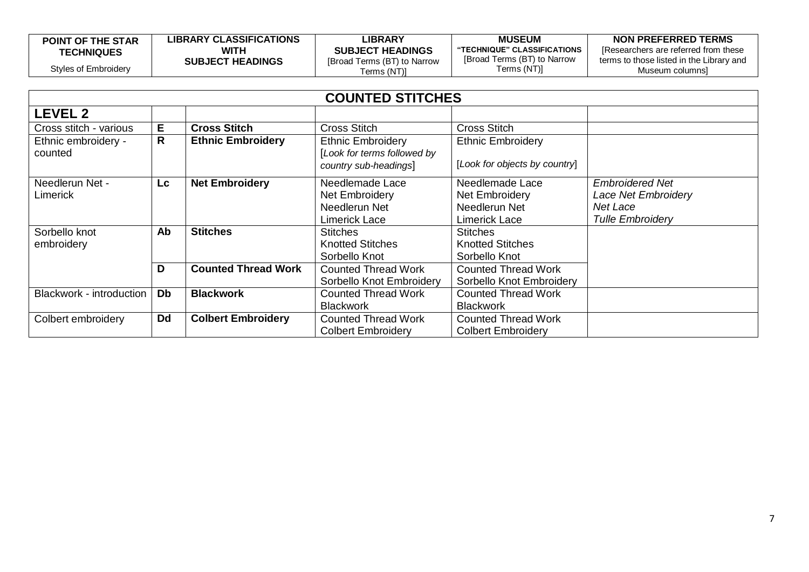| <b>POINT OF THE STAR</b> | <b>LIBRARY CLASSIFICATIONS</b> | <b>_IBRARY</b>              | <b>MUSEUM</b>               | NON PREFERRED TERMS                      |
|--------------------------|--------------------------------|-----------------------------|-----------------------------|------------------------------------------|
| <b>TECHNIQUES</b>        | <b>WITH</b>                    | <b>SUBJECT HEADINGS</b>     | "TECHNIQUE" CLASSIFICATIONS | IResearchers are referred from these     |
|                          | <b>SUBJECT HEADINGS</b>        | [Broad Terms (BT) to Narrow | [Broad Terms (BT) to Narrow | terms to those listed in the Library and |
| Styles of Embroidery     |                                | [(NT) Terms                 | Terms (NT)]                 | Museum columnsi                          |

| <b>COUNTED STITCHES</b>         |           |                            |                                                      |                               |                            |
|---------------------------------|-----------|----------------------------|------------------------------------------------------|-------------------------------|----------------------------|
| <b>LEVEL 2</b>                  |           |                            |                                                      |                               |                            |
| Cross stitch - various          | E.        | <b>Cross Stitch</b>        | <b>Cross Stitch</b>                                  | <b>Cross Stitch</b>           |                            |
| Ethnic embroidery -             | R         | <b>Ethnic Embroidery</b>   | <b>Ethnic Embroidery</b>                             | <b>Ethnic Embroidery</b>      |                            |
| counted                         |           |                            | [Look for terms followed by<br>country sub-headings] | [Look for objects by country] |                            |
| Needlerun Net -                 | <b>Lc</b> | <b>Net Embroidery</b>      | Needlemade Lace                                      | Needlemade Lace               | <b>Embroidered Net</b>     |
| Limerick                        |           |                            | Net Embroidery                                       | Net Embroidery                | <b>Lace Net Embroidery</b> |
|                                 |           |                            | Needlerun Net                                        | Needlerun Net                 | Net Lace                   |
|                                 |           |                            | Limerick Lace                                        | Limerick Lace                 | <b>Tulle Embroidery</b>    |
| Sorbello knot                   | Ab        | <b>Stitches</b>            | <b>Stitches</b>                                      | <b>Stitches</b>               |                            |
| embroidery                      |           |                            | <b>Knotted Stitches</b>                              | <b>Knotted Stitches</b>       |                            |
|                                 |           |                            | Sorbello Knot                                        | Sorbello Knot                 |                            |
|                                 | D         | <b>Counted Thread Work</b> | <b>Counted Thread Work</b>                           | <b>Counted Thread Work</b>    |                            |
|                                 |           |                            | Sorbello Knot Embroidery                             | Sorbello Knot Embroidery      |                            |
| <b>Blackwork - introduction</b> | Db        | <b>Blackwork</b>           | <b>Counted Thread Work</b>                           | <b>Counted Thread Work</b>    |                            |
|                                 |           |                            | <b>Blackwork</b>                                     | <b>Blackwork</b>              |                            |
| Colbert embroidery              | <b>Dd</b> | <b>Colbert Embroidery</b>  | <b>Counted Thread Work</b>                           | <b>Counted Thread Work</b>    |                            |
|                                 |           |                            | <b>Colbert Embroidery</b>                            | <b>Colbert Embroidery</b>     |                            |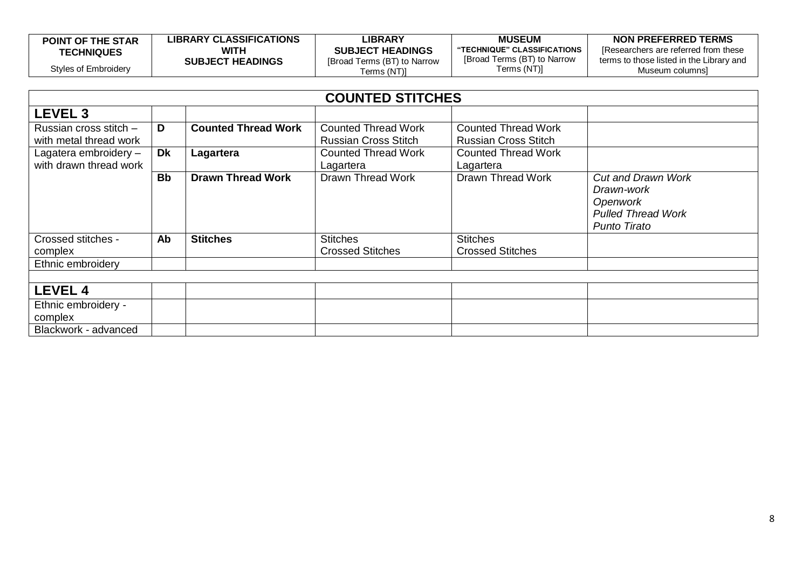| <b>POINT OF THE STAR</b> | <b>LIBRARY CLASSIFICATIONS</b> | LIBRARY                     | <b>MUSEUM</b>                | NON PREFERRED TERMS                      |
|--------------------------|--------------------------------|-----------------------------|------------------------------|------------------------------------------|
| <b>TECHNIQUES</b>        | WITH                           | <b>SUBJECT HEADINGS</b>     | "TECHNIQUE" CLASSIFICATIONS" | Researchers are referred from these      |
|                          | <b>SUBJECT HEADINGS</b>        | [Broad Terms (BT) to Narrow | [Broad Terms (BT) to Narrow  | terms to those listed in the Library and |
| Styles of Embroidery     |                                | Terms (NT)]                 | Terms (NT)]                  | Museum columns]                          |

| <b>COUNTED STITCHES</b>                          |           |                            |                                                           |                                                           |                                                                                                         |  |
|--------------------------------------------------|-----------|----------------------------|-----------------------------------------------------------|-----------------------------------------------------------|---------------------------------------------------------------------------------------------------------|--|
| LEVEL 3                                          |           |                            |                                                           |                                                           |                                                                                                         |  |
| Russian cross stitch -<br>with metal thread work | D         | <b>Counted Thread Work</b> | <b>Counted Thread Work</b><br><b>Russian Cross Stitch</b> | <b>Counted Thread Work</b><br><b>Russian Cross Stitch</b> |                                                                                                         |  |
| Lagatera embroidery -<br>with drawn thread work  | Dk        | Lagartera                  | <b>Counted Thread Work</b><br>Lagartera                   | <b>Counted Thread Work</b><br>Lagartera                   |                                                                                                         |  |
|                                                  | <b>Bb</b> | <b>Drawn Thread Work</b>   | Drawn Thread Work                                         | Drawn Thread Work                                         | <b>Cut and Drawn Work</b><br>Drawn-work<br>Openwork<br><b>Pulled Thread Work</b><br><b>Punto Tirato</b> |  |
| Crossed stitches -<br>complex                    | Ab        | <b>Stitches</b>            | <b>Stitches</b><br><b>Crossed Stitches</b>                | <b>Stitches</b><br><b>Crossed Stitches</b>                |                                                                                                         |  |
| Ethnic embroidery                                |           |                            |                                                           |                                                           |                                                                                                         |  |
|                                                  |           |                            |                                                           |                                                           |                                                                                                         |  |
| <b>LEVEL 4</b>                                   |           |                            |                                                           |                                                           |                                                                                                         |  |
| Ethnic embroidery -<br>complex                   |           |                            |                                                           |                                                           |                                                                                                         |  |
| Blackwork - advanced                             |           |                            |                                                           |                                                           |                                                                                                         |  |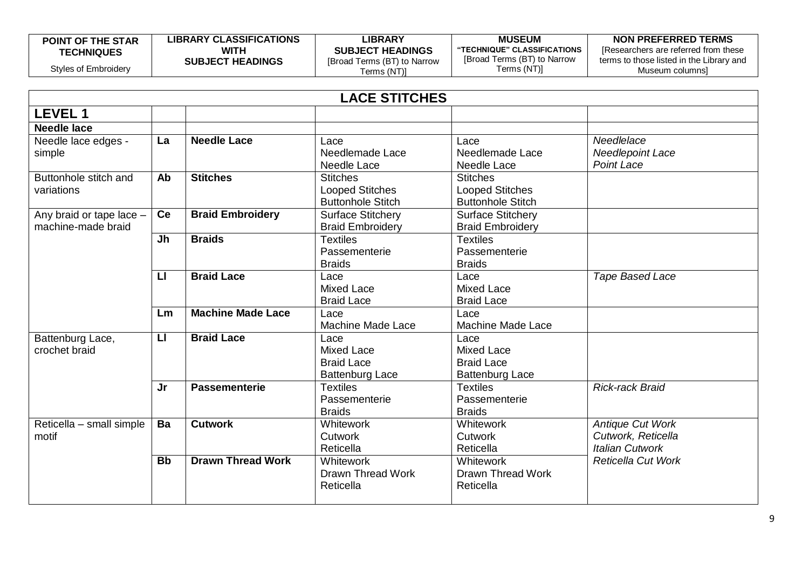| <b>POINT OF THE STAR</b> | <b>LIBRARY CLASSIFICATIONS</b> | LIBRARY                     | <b>MUSEUM</b>               | NON PREFERRED TERMS                      |
|--------------------------|--------------------------------|-----------------------------|-----------------------------|------------------------------------------|
| <b>TECHNIQUES</b>        | WITH                           | <b>SUBJECT HEADINGS</b>     | "TECHNIQUE" CLASSIFICATIONS | IResearchers are referred from these     |
|                          | <b>SUBJECT HEADINGS</b>        | [Broad Terms (BT) to Narrow | [Broad Terms (BT) to Narrow | terms to those listed in the Library and |
| Styles of Embroidery     |                                | Terms (NT)]                 | Terms (NT)]                 | Museum columnsl                          |

|                                                | <b>LACE STITCHES</b> |                          |                                                                          |                                                                          |                                                                         |  |
|------------------------------------------------|----------------------|--------------------------|--------------------------------------------------------------------------|--------------------------------------------------------------------------|-------------------------------------------------------------------------|--|
| <b>LEVEL 1</b>                                 |                      |                          |                                                                          |                                                                          |                                                                         |  |
| <b>Needle lace</b>                             |                      |                          |                                                                          |                                                                          |                                                                         |  |
| Needle lace edges -<br>simple                  | La                   | <b>Needle Lace</b>       | Lace<br>Needlemade Lace<br>Needle Lace                                   | Lace<br>Needlemade Lace<br><b>Needle Lace</b>                            | Needlelace<br>Needlepoint Lace<br><b>Point Lace</b>                     |  |
| Buttonhole stitch and<br>variations            | Ab                   | <b>Stitches</b>          | <b>Stitches</b><br><b>Looped Stitches</b><br><b>Buttonhole Stitch</b>    | <b>Stitches</b><br><b>Looped Stitches</b><br><b>Buttonhole Stitch</b>    |                                                                         |  |
| Any braid or tape lace -<br>machine-made braid | Ce                   | <b>Braid Embroidery</b>  | <b>Surface Stitchery</b><br><b>Braid Embroidery</b>                      | <b>Surface Stitchery</b><br><b>Braid Embroidery</b>                      |                                                                         |  |
|                                                | Jh                   | <b>Braids</b>            | <b>Textiles</b><br>Passementerie<br><b>Braids</b>                        | <b>Textiles</b><br>Passementerie<br><b>Braids</b>                        |                                                                         |  |
|                                                | $\mathbf{L}$         | <b>Braid Lace</b>        | Lace<br><b>Mixed Lace</b><br><b>Braid Lace</b>                           | Lace<br><b>Mixed Lace</b><br><b>Braid Lace</b>                           | Tape Based Lace                                                         |  |
|                                                | Lm                   | <b>Machine Made Lace</b> | Lace<br>Machine Made Lace                                                | Lace<br><b>Machine Made Lace</b>                                         |                                                                         |  |
| Battenburg Lace,<br>crochet braid              | $\mathsf{L}$         | <b>Braid Lace</b>        | Lace<br><b>Mixed Lace</b><br><b>Braid Lace</b><br><b>Battenburg Lace</b> | Lace<br><b>Mixed Lace</b><br><b>Braid Lace</b><br><b>Battenburg Lace</b> |                                                                         |  |
|                                                | Jr                   | <b>Passementerie</b>     | <b>Textiles</b><br>Passementerie<br><b>Braids</b>                        | <b>Textiles</b><br>Passementerie<br><b>Braids</b>                        | <b>Rick-rack Braid</b>                                                  |  |
| Reticella - small simple<br>motif              | Ba                   | <b>Cutwork</b>           | <b>Whitework</b><br>Cutwork<br>Reticella                                 | <b>Whitework</b><br>Cutwork<br>Reticella                                 | <b>Antique Cut Work</b><br>Cutwork, Reticella<br><b>Italian Cutwork</b> |  |
|                                                | <b>Bb</b>            | <b>Drawn Thread Work</b> | <b>Whitework</b><br><b>Drawn Thread Work</b><br>Reticella                | Whitework<br><b>Drawn Thread Work</b><br>Reticella                       | <b>Reticella Cut Work</b>                                               |  |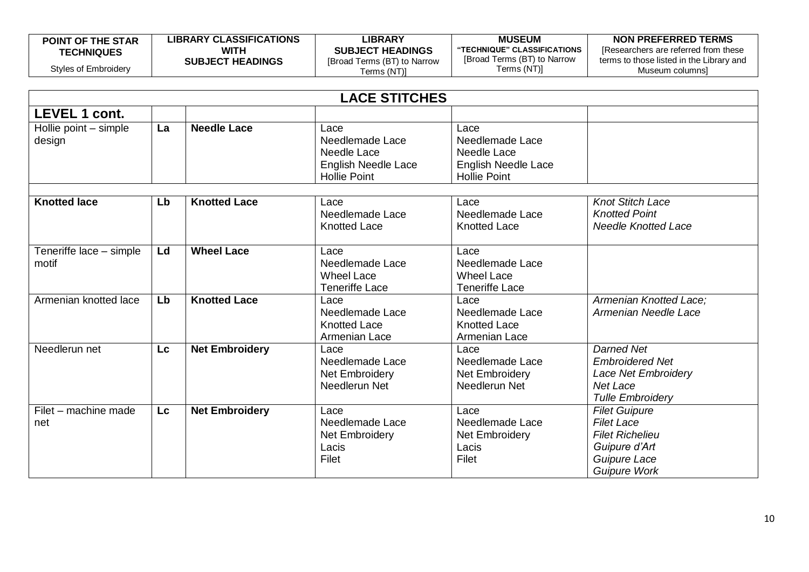| <b>POINT OF THE STAR</b> | <b>LIBRARY CLASSIFICATIONS</b> | <b>_IBRARY</b>              | <b>MUSEUM</b>               | NON PREFERRED TERMS                      |
|--------------------------|--------------------------------|-----------------------------|-----------------------------|------------------------------------------|
| <b>TECHNIQUES</b>        | <b>WITH</b>                    | <b>SUBJECT HEADINGS</b>     | "TECHNIQUE" CLASSIFICATIONS | I Researchers are referred from these    |
|                          | <b>SUBJECT HEADINGS</b>        | [Broad Terms (BT) to Narrow | [Broad Terms (BT) to Narrow | terms to those listed in the Library and |
| Styles of Embroidery     |                                | [Terms (NT)                 | Terms (NT)]                 | Museum columnsi                          |

|                                  | <b>LACE STITCHES</b> |                       |                                                                                             |                                                                                             |                                                                                                                             |  |
|----------------------------------|----------------------|-----------------------|---------------------------------------------------------------------------------------------|---------------------------------------------------------------------------------------------|-----------------------------------------------------------------------------------------------------------------------------|--|
| <b>LEVEL 1 cont.</b>             |                      |                       |                                                                                             |                                                                                             |                                                                                                                             |  |
| Hollie point - simple<br>design  | La                   | <b>Needle Lace</b>    | Lace<br>Needlemade Lace<br>Needle Lace<br><b>English Needle Lace</b><br><b>Hollie Point</b> | Lace<br>Needlemade Lace<br>Needle Lace<br><b>English Needle Lace</b><br><b>Hollie Point</b> |                                                                                                                             |  |
| <b>Knotted lace</b>              | Lb                   | <b>Knotted Lace</b>   | Lace<br>Needlemade Lace<br><b>Knotted Lace</b>                                              | Lace<br>Needlemade Lace<br><b>Knotted Lace</b>                                              | <b>Knot Stitch Lace</b><br><b>Knotted Point</b><br><b>Needle Knotted Lace</b>                                               |  |
| Teneriffe lace - simple<br>motif | Ld                   | <b>Wheel Lace</b>     | Lace<br>Needlemade Lace<br><b>Wheel Lace</b><br><b>Teneriffe Lace</b>                       | Lace<br>Needlemade Lace<br><b>Wheel Lace</b><br><b>Teneriffe Lace</b>                       |                                                                                                                             |  |
| Armenian knotted lace            | Lb                   | <b>Knotted Lace</b>   | Lace<br>Needlemade Lace<br><b>Knotted Lace</b><br>Armenian Lace                             | Lace<br>Needlemade Lace<br><b>Knotted Lace</b><br>Armenian Lace                             | Armenian Knotted Lace:<br>Armenian Needle Lace                                                                              |  |
| Needlerun net                    | Lc                   | <b>Net Embroidery</b> | Lace<br>Needlemade Lace<br>Net Embroidery<br>Needlerun Net                                  | Lace<br>Needlemade Lace<br>Net Embroidery<br>Needlerun Net                                  | <b>Darned Net</b><br><b>Embroidered Net</b><br><b>Lace Net Embroidery</b><br>Net Lace<br><b>Tulle Embroidery</b>            |  |
| Filet - machine made<br>net      | <b>Lc</b>            | <b>Net Embroidery</b> | Lace<br>Needlemade Lace<br><b>Net Embroidery</b><br>Lacis<br>Filet                          | Lace<br>Needlemade Lace<br><b>Net Embroidery</b><br>Lacis<br>Filet                          | <b>Filet Guipure</b><br><b>Filet Lace</b><br><b>Filet Richelieu</b><br>Guipure d'Art<br>Guipure Lace<br><b>Guipure Work</b> |  |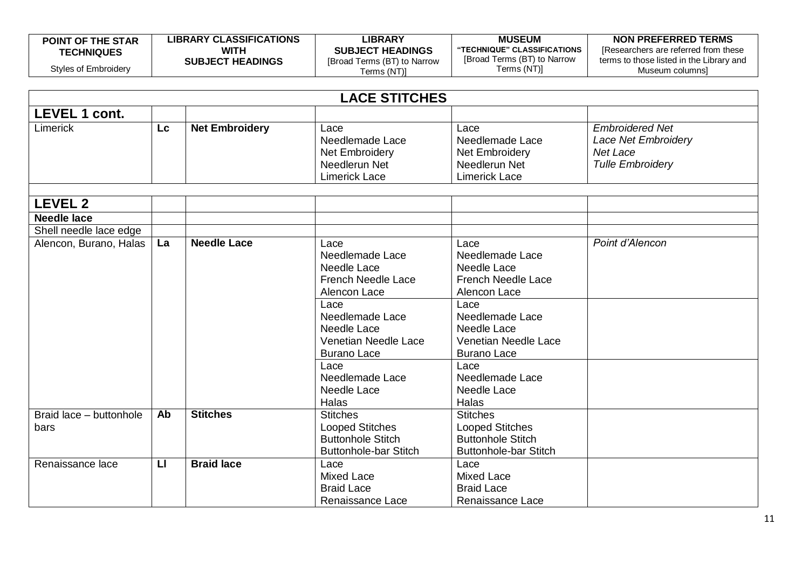| <b>POINT OF THE STAR</b> | LIBRARY CLASSIFICATIONS | <b>_IBRARY</b>              | <b>MUSEUM</b>               | NON PREFERRED TERMS                      |
|--------------------------|-------------------------|-----------------------------|-----------------------------|------------------------------------------|
| <b>TECHNIQUES</b>        | WITH                    | <b>SUBJECT HEADINGS</b>     | "TECHNIQUE" CLASSIFICATIONS | IResearchers are referred from these     |
|                          | <b>SUBJECT HEADINGS</b> | [Broad Terms (BT) to Narrow | [Broad Terms (BT) to Narrow | terms to those listed in the Library and |
| Styles of Embroidery     |                         | Terms (NT)]                 | Terms (NT)]                 | Museum columnsi                          |

| <b>LACE STITCHES</b>            |                         |                       |                                                                                                                                                                                                                                       |                                                                                                                                                                                                                                |                                                                                             |
|---------------------------------|-------------------------|-----------------------|---------------------------------------------------------------------------------------------------------------------------------------------------------------------------------------------------------------------------------------|--------------------------------------------------------------------------------------------------------------------------------------------------------------------------------------------------------------------------------|---------------------------------------------------------------------------------------------|
| <b>LEVEL 1 cont.</b>            |                         |                       |                                                                                                                                                                                                                                       |                                                                                                                                                                                                                                |                                                                                             |
| Limerick                        | <b>Lc</b>               | <b>Net Embroidery</b> | Lace<br>Needlemade Lace<br>Net Embroidery<br>Needlerun Net<br><b>Limerick Lace</b>                                                                                                                                                    | Lace<br>Needlemade Lace<br>Net Embroidery<br>Needlerun Net<br><b>Limerick Lace</b>                                                                                                                                             | <b>Embroidered Net</b><br><b>Lace Net Embroidery</b><br>Net Lace<br><b>Tulle Embroidery</b> |
| <b>LEVEL 2</b>                  |                         |                       |                                                                                                                                                                                                                                       |                                                                                                                                                                                                                                |                                                                                             |
| <b>Needle lace</b>              |                         |                       |                                                                                                                                                                                                                                       |                                                                                                                                                                                                                                |                                                                                             |
| Shell needle lace edge          |                         |                       |                                                                                                                                                                                                                                       |                                                                                                                                                                                                                                |                                                                                             |
| Alencon, Burano, Halas          | La                      | <b>Needle Lace</b>    | Lace<br>Needlemade Lace<br>Needle Lace<br><b>French Needle Lace</b><br>Alencon Lace<br>Lace<br>Needlemade Lace<br>Needle Lace<br><b>Venetian Needle Lace</b><br><b>Burano Lace</b><br>Lace<br>Needlemade Lace<br>Needle Lace<br>Halas | Lace<br>Needlemade Lace<br>Needle Lace<br><b>French Needle Lace</b><br>Alencon Lace<br>Lace<br>Needlemade Lace<br>Needle Lace<br>Venetian Needle Lace<br><b>Burano Lace</b><br>Lace<br>Needlemade Lace<br>Needle Lace<br>Halas | Point d'Alencon                                                                             |
| Braid lace - buttonhole<br>bars | Ab                      | <b>Stitches</b>       | <b>Stitches</b><br><b>Looped Stitches</b><br><b>Buttonhole Stitch</b><br><b>Buttonhole-bar Stitch</b>                                                                                                                                 | <b>Stitches</b><br><b>Looped Stitches</b><br><b>Buttonhole Stitch</b><br><b>Buttonhole-bar Stitch</b>                                                                                                                          |                                                                                             |
| Renaissance lace                | $\overline{\mathbf{u}}$ | <b>Braid lace</b>     | Lace<br><b>Mixed Lace</b><br><b>Braid Lace</b><br>Renaissance Lace                                                                                                                                                                    | Lace<br><b>Mixed Lace</b><br><b>Braid Lace</b><br>Renaissance Lace                                                                                                                                                             |                                                                                             |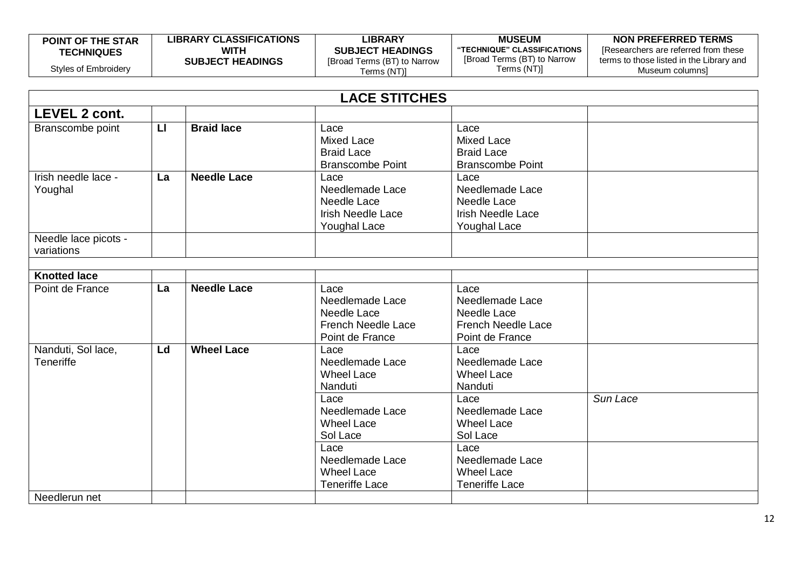| <b>POINT OF THE STAR</b> | <b>LIBRARY CLASSIFICATIONS</b> | LIBRARY                     | <b>MUSEUM</b>               | NON PREFERRED TERMS                      |
|--------------------------|--------------------------------|-----------------------------|-----------------------------|------------------------------------------|
| <b>TECHNIQUES</b>        | WITH                           | <b>SUBJECT HEADINGS</b>     | "TECHNIQUE" CLASSIFICATIONS | [Researchers are referred from these     |
|                          | <b>SUBJECT HEADINGS</b>        | [Broad Terms (BT) to Narrow | [Broad Terms (BT) to Narrow | terms to those listed in the Library and |
| Styles of Embroidery     |                                | Terms (NT)]                 | Terms (NT)]                 | Museum columnsì                          |

|                                        |              |                                                                       | <b>LACE STITCHES</b>                                                                      |                                                                                           |          |
|----------------------------------------|--------------|-----------------------------------------------------------------------|-------------------------------------------------------------------------------------------|-------------------------------------------------------------------------------------------|----------|
| <b>LEVEL 2 cont.</b>                   |              |                                                                       |                                                                                           |                                                                                           |          |
| Branscombe point                       | $\mathsf{L}$ | <b>Braid lace</b>                                                     | Lace<br><b>Mixed Lace</b><br><b>Braid Lace</b><br><b>Branscombe Point</b>                 | Lace<br><b>Mixed Lace</b><br><b>Braid Lace</b><br><b>Branscombe Point</b>                 |          |
| Irish needle lace -<br>Youghal         | La           | <b>Needle Lace</b>                                                    | Lace<br>Needlemade Lace<br>Needle Lace<br><b>Irish Needle Lace</b><br><b>Youghal Lace</b> | Lace<br>Needlemade Lace<br>Needle Lace<br><b>Irish Needle Lace</b><br><b>Youghal Lace</b> |          |
| Needle lace picots -<br>variations     |              |                                                                       |                                                                                           |                                                                                           |          |
| <b>Knotted lace</b>                    |              |                                                                       |                                                                                           |                                                                                           |          |
| Point de France                        | La           | <b>Needle Lace</b>                                                    | Lace<br>Needlemade Lace<br>Needle Lace<br><b>French Needle Lace</b><br>Point de France    | Lace<br>Needlemade Lace<br>Needle Lace<br><b>French Needle Lace</b><br>Point de France    |          |
| Nanduti, Sol lace,<br><b>Teneriffe</b> | Ld           | <b>Wheel Lace</b>                                                     | Lace<br>Needlemade Lace<br><b>Wheel Lace</b><br>Nanduti                                   | Lace<br>Needlemade Lace<br><b>Wheel Lace</b><br>Nanduti                                   |          |
|                                        |              |                                                                       | Lace<br>Needlemade Lace<br><b>Wheel Lace</b><br>Sol Lace                                  | Lace<br>Needlemade Lace<br><b>Wheel Lace</b><br>Sol Lace                                  | Sun Lace |
|                                        |              | Lace<br>Needlemade Lace<br><b>Wheel Lace</b><br><b>Teneriffe Lace</b> | Lace<br>Needlemade Lace<br><b>Wheel Lace</b><br><b>Teneriffe Lace</b>                     |                                                                                           |          |
| Needlerun net                          |              |                                                                       |                                                                                           |                                                                                           |          |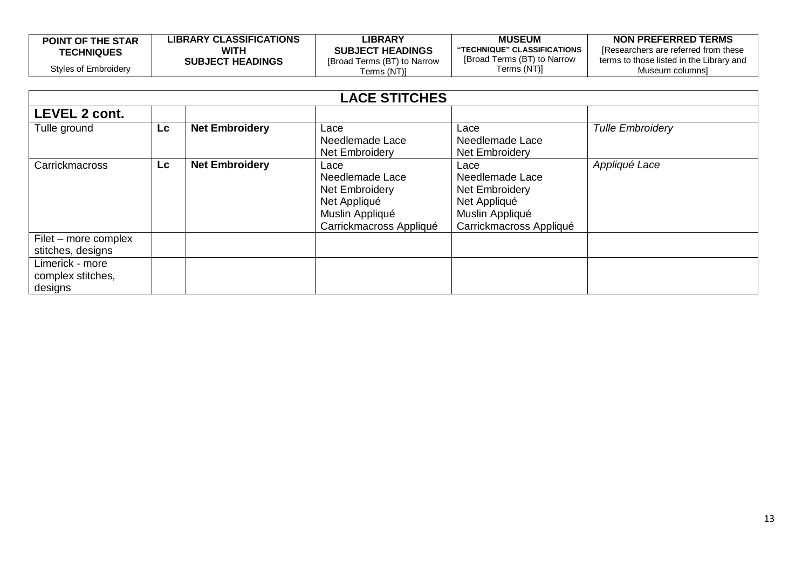| <b>POINT OF THE STAR</b> | <b>LIBRARY CLASSIFICATIONS</b> | LIBRARY                     | <b>MUSEUM</b>               | NON PREFERRED TERMS                      |
|--------------------------|--------------------------------|-----------------------------|-----------------------------|------------------------------------------|
| <b>TECHNIQUES</b>        | WITH                           | <b>SUBJECT HEADINGS</b>     | "TECHNIQUE" CLASSIFICATIONS | Researchers are referred from these      |
|                          | <b>SUBJECT HEADINGS</b>        | [Broad Terms (BT) to Narrow | [Broad Terms (BT) to Narrow | terms to those listed in the Library and |
| Styles of Embroidery     |                                | Terms (NT)]                 | Terms (NT)]                 | Museum columnsì                          |

| <b>LACE STITCHES</b>                            |           |                       |                                                                                                         |                                                                                                         |                         |  |
|-------------------------------------------------|-----------|-----------------------|---------------------------------------------------------------------------------------------------------|---------------------------------------------------------------------------------------------------------|-------------------------|--|
| <b>LEVEL 2 cont.</b>                            |           |                       |                                                                                                         |                                                                                                         |                         |  |
| Tulle ground                                    | <b>Lc</b> | <b>Net Embroidery</b> | Lace<br>Needlemade Lace<br>Net Embroidery                                                               | Lace<br>Needlemade Lace<br><b>Net Embroidery</b>                                                        | <b>Tulle Embroidery</b> |  |
| Carrickmacross                                  | <b>Lc</b> | <b>Net Embroidery</b> | Lace<br>Needlemade Lace<br>Net Embroidery<br>Net Appliqué<br>Muslin Appliqué<br>Carrickmacross Appliqué | Lace<br>Needlemade Lace<br>Net Embroidery<br>Net Appliqué<br>Muslin Appliqué<br>Carrickmacross Appliqué | Appliqué Lace           |  |
| Filet – more complex<br>stitches, designs       |           |                       |                                                                                                         |                                                                                                         |                         |  |
| Limerick - more<br>complex stitches,<br>designs |           |                       |                                                                                                         |                                                                                                         |                         |  |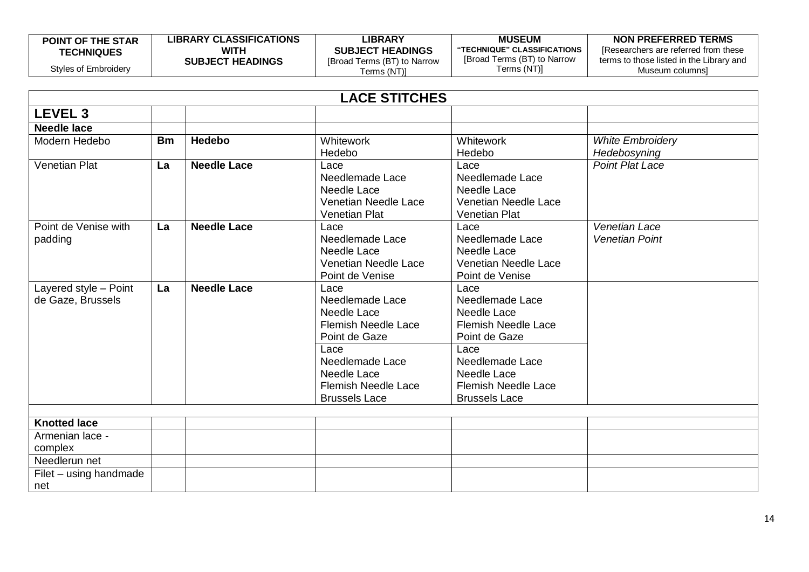| <b>POINT OF THE STAR</b> | <b>LIBRARY CLASSIFICATIONS</b> | <b>LIBRARY</b>              | <b>MUSEUM</b>               | NON PREFERRED TERMS                      |
|--------------------------|--------------------------------|-----------------------------|-----------------------------|------------------------------------------|
| <b>TECHNIQUES</b>        | WITH                           | <b>SUBJECT HEADINGS</b>     | "TECHNIQUE" CLASSIFICATIONS | IResearchers are referred from these     |
|                          | <b>SUBJECT HEADINGS</b>        | [Broad Terms (BT) to Narrow | [Broad Terms (BT) to Narrow | terms to those listed in the Library and |
| Styles of Embroidery     |                                | Terms (NT)I                 | Terms (NT)]                 | Museum columnsl                          |

| <b>LACE STITCHES</b>                       |           |                    |                                                                                                                                                                                       |                                                                                                                                                                                       |                                               |
|--------------------------------------------|-----------|--------------------|---------------------------------------------------------------------------------------------------------------------------------------------------------------------------------------|---------------------------------------------------------------------------------------------------------------------------------------------------------------------------------------|-----------------------------------------------|
| <b>LEVEL 3</b>                             |           |                    |                                                                                                                                                                                       |                                                                                                                                                                                       |                                               |
| <b>Needle lace</b>                         |           |                    |                                                                                                                                                                                       |                                                                                                                                                                                       |                                               |
| Modern Hedebo                              | <b>Bm</b> | <b>Hedebo</b>      | Whitework<br>Hedebo                                                                                                                                                                   | Whitework<br>Hedebo                                                                                                                                                                   | <b>White Embroidery</b><br>Hedebosyning       |
| <b>Venetian Plat</b>                       | La        | <b>Needle Lace</b> | Lace<br>Needlemade Lace<br>Needle Lace<br>Venetian Needle Lace<br><b>Venetian Plat</b>                                                                                                | Lace<br>Needlemade Lace<br>Needle Lace<br>Venetian Needle Lace<br><b>Venetian Plat</b>                                                                                                | <b>Point Plat Lace</b>                        |
| Point de Venise with<br>padding            | La        | <b>Needle Lace</b> | Lace<br>Needlemade Lace<br>Needle Lace<br>Venetian Needle Lace<br>Point de Venise                                                                                                     | Lace<br>Needlemade Lace<br>Needle Lace<br>Venetian Needle Lace<br>Point de Venise                                                                                                     | <b>Venetian Lace</b><br><b>Venetian Point</b> |
| Layered style - Point<br>de Gaze, Brussels | La        | <b>Needle Lace</b> | Lace<br>Needlemade Lace<br>Needle Lace<br><b>Flemish Needle Lace</b><br>Point de Gaze<br>Lace<br>Needlemade Lace<br>Needle Lace<br><b>Flemish Needle Lace</b><br><b>Brussels Lace</b> | Lace<br>Needlemade Lace<br>Needle Lace<br><b>Flemish Needle Lace</b><br>Point de Gaze<br>Lace<br>Needlemade Lace<br>Needle Lace<br><b>Flemish Needle Lace</b><br><b>Brussels Lace</b> |                                               |
|                                            |           |                    |                                                                                                                                                                                       |                                                                                                                                                                                       |                                               |
| <b>Knotted lace</b>                        |           |                    |                                                                                                                                                                                       |                                                                                                                                                                                       |                                               |
| Armenian lace -<br>complex                 |           |                    |                                                                                                                                                                                       |                                                                                                                                                                                       |                                               |
| Needlerun net                              |           |                    |                                                                                                                                                                                       |                                                                                                                                                                                       |                                               |
| Filet - using handmade<br>net              |           |                    |                                                                                                                                                                                       |                                                                                                                                                                                       |                                               |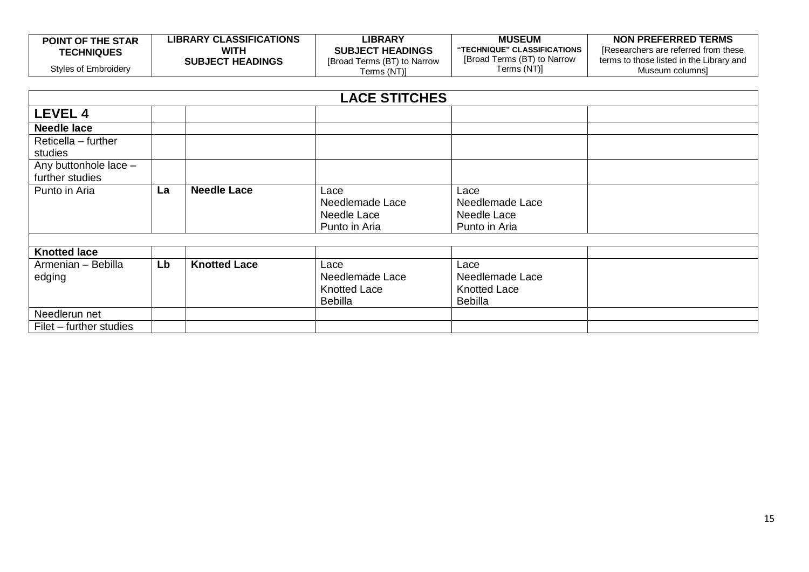| <b>POINT OF THE STAR</b> | <b>LIBRARY CLASSIFICATIONS</b> | LIBRARY                     | <b>MUSEUM</b>               | NON PREFERRED TERMS                      |
|--------------------------|--------------------------------|-----------------------------|-----------------------------|------------------------------------------|
| <b>TECHNIQUES</b>        | WITH                           | <b>SUBJECT HEADINGS</b>     | "TECHNIQUE" CLASSIFICATIONS | IResearchers are referred from these     |
|                          | <b>SUBJECT HEADINGS</b>        | [Broad Terms (BT) to Narrow | [Broad Terms (BT) to Narrow | terms to those listed in the Library and |
| Styles of Embroidery     |                                | Terms (NT)]                 | Terms (NT)]                 | Museum columnsi                          |

|                              | <b>LACE STITCHES</b> |                     |                                                                  |                                                                  |  |  |
|------------------------------|----------------------|---------------------|------------------------------------------------------------------|------------------------------------------------------------------|--|--|
| <b>LEVEL 4</b>               |                      |                     |                                                                  |                                                                  |  |  |
| <b>Needle lace</b>           |                      |                     |                                                                  |                                                                  |  |  |
| Reticella - further          |                      |                     |                                                                  |                                                                  |  |  |
| studies                      |                      |                     |                                                                  |                                                                  |  |  |
| Any buttonhole lace -        |                      |                     |                                                                  |                                                                  |  |  |
| further studies              |                      |                     |                                                                  |                                                                  |  |  |
| Punto in Aria                | La                   | <b>Needle Lace</b>  | Lace<br>Needlemade Lace<br>Needle Lace<br>Punto in Aria          | Lace<br>Needlemade Lace<br>Needle Lace<br>Punto in Aria          |  |  |
| <b>Knotted lace</b>          |                      |                     |                                                                  |                                                                  |  |  |
| Armenian - Bebilla<br>edging | Lb                   | <b>Knotted Lace</b> | Lace<br>Needlemade Lace<br><b>Knotted Lace</b><br><b>Bebilla</b> | Lace<br>Needlemade Lace<br><b>Knotted Lace</b><br><b>Bebilla</b> |  |  |
| Needlerun net                |                      |                     |                                                                  |                                                                  |  |  |
| Filet – further studies      |                      |                     |                                                                  |                                                                  |  |  |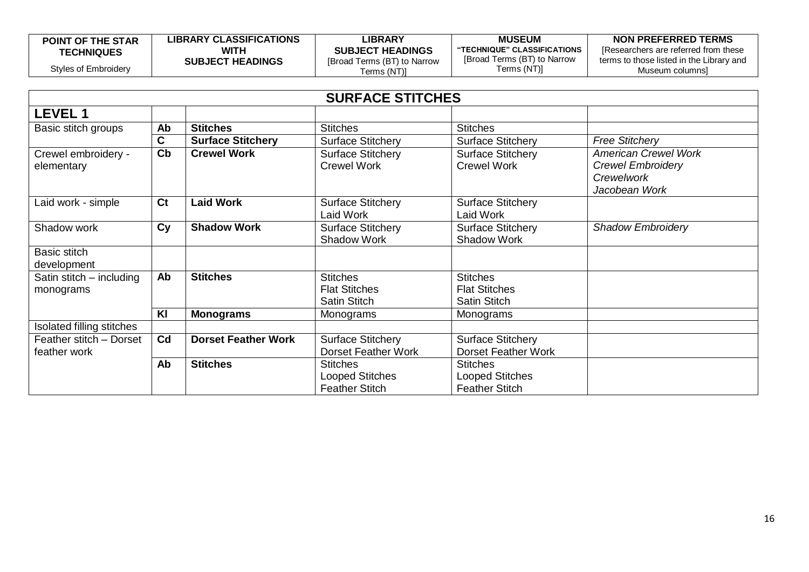| <b>POINT OF THE STAR</b> | <b>LIBRARY CLASSIFICATIONS</b> | LIBRARY                     | <b>MUSEUM</b>               | NON PREFERRED TERMS                      |
|--------------------------|--------------------------------|-----------------------------|-----------------------------|------------------------------------------|
| <b>TECHNIQUES</b>        | WITH                           | <b>SUBJECT HEADINGS</b>     | "TECHNIQUE" CLASSIFICATIONS | [Researchers are referred from these     |
|                          | <b>SUBJECT HEADINGS</b>        | [Broad Terms (BT) to Narrow | [Broad Terms (BT) to Narrow | terms to those listed in the Library and |
| Styles of Embroidery     |                                | Terms (NT)]                 | Terms (NT)]                 | Museum columnsì                          |

|                                         |                |                            | <b>SURFACE STITCHES</b>                                            |                                                                    |                                                                                        |
|-----------------------------------------|----------------|----------------------------|--------------------------------------------------------------------|--------------------------------------------------------------------|----------------------------------------------------------------------------------------|
| <b>LEVEL 1</b>                          |                |                            |                                                                    |                                                                    |                                                                                        |
| Basic stitch groups                     | Ab             | <b>Stitches</b>            | <b>Stitches</b>                                                    | <b>Stitches</b>                                                    |                                                                                        |
|                                         | C.             | <b>Surface Stitchery</b>   | <b>Surface Stitchery</b>                                           | <b>Surface Stitchery</b>                                           | <b>Free Stitchery</b>                                                                  |
| Crewel embroidery -<br>elementary       | $ch$           | <b>Crewel Work</b>         | <b>Surface Stitchery</b><br><b>Crewel Work</b>                     | <b>Surface Stitchery</b><br><b>Crewel Work</b>                     | <b>American Crewel Work</b><br><b>Crewel Embroidery</b><br>Crewelwork<br>Jacobean Work |
| Laid work - simple                      | C <sub>t</sub> | <b>Laid Work</b>           | <b>Surface Stitchery</b><br>Laid Work                              | <b>Surface Stitchery</b><br>Laid Work                              |                                                                                        |
| Shadow work                             | Cy             | <b>Shadow Work</b>         | <b>Surface Stitchery</b><br><b>Shadow Work</b>                     | <b>Surface Stitchery</b><br><b>Shadow Work</b>                     | <b>Shadow Embroidery</b>                                                               |
| Basic stitch<br>development             |                |                            |                                                                    |                                                                    |                                                                                        |
| Satin stitch - including<br>monograms   | Ab             | <b>Stitches</b>            | <b>Stitches</b><br><b>Flat Stitches</b><br>Satin Stitch            | <b>Stitches</b><br><b>Flat Stitches</b><br><b>Satin Stitch</b>     |                                                                                        |
|                                         | KI             | <b>Monograms</b>           | Monograms                                                          | Monograms                                                          |                                                                                        |
| Isolated filling stitches               |                |                            |                                                                    |                                                                    |                                                                                        |
| Feather stitch - Dorset<br>feather work | Cd             | <b>Dorset Feather Work</b> | <b>Surface Stitchery</b><br><b>Dorset Feather Work</b>             | <b>Surface Stitchery</b><br><b>Dorset Feather Work</b>             |                                                                                        |
|                                         | Ab             | <b>Stitches</b>            | <b>Stitches</b><br><b>Looped Stitches</b><br><b>Feather Stitch</b> | <b>Stitches</b><br><b>Looped Stitches</b><br><b>Feather Stitch</b> |                                                                                        |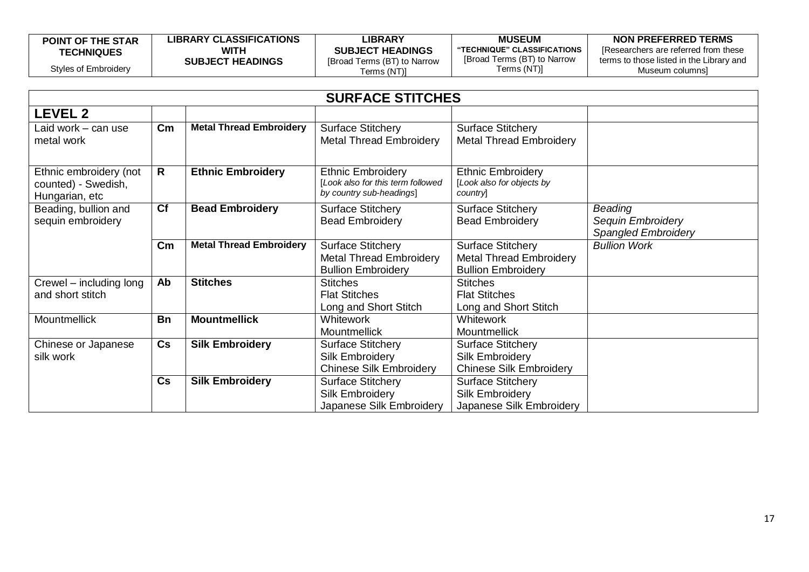| <b>POINT OF THE STAR</b><br><b>TECHNIQUES</b> | <b>LIBRARY CLASSIFICATIONS</b><br>WITH | LIBRARY<br><b>SUBJECT HEADINGS</b>         | <b>MUSEUM</b><br>"TECHNIQUE" CLASSIFICATIONS<br>[Broad Terms (BT) to Narrow | NON PREFERRED TERMS<br>IResearchers are referred from these<br>terms to those listed in the Library and |
|-----------------------------------------------|----------------------------------------|--------------------------------------------|-----------------------------------------------------------------------------|---------------------------------------------------------------------------------------------------------|
| Styles of Embroidery                          | <b>SUBJECT HEADINGS</b>                | [Broad Terms (BT) to Narrow<br>Terms (NT)] | Terms (NT)]                                                                 | Museum columnsi                                                                                         |

|                                                                 | <b>SURFACE STITCHES</b> |                                |                                                                                           |                                                                                         |                                                            |  |
|-----------------------------------------------------------------|-------------------------|--------------------------------|-------------------------------------------------------------------------------------------|-----------------------------------------------------------------------------------------|------------------------------------------------------------|--|
| <b>LEVEL 2</b>                                                  |                         |                                |                                                                                           |                                                                                         |                                                            |  |
| Laid work - can use<br>metal work                               | $\mathsf{Cm}$           | <b>Metal Thread Embroidery</b> | <b>Surface Stitchery</b><br><b>Metal Thread Embroidery</b>                                | <b>Surface Stitchery</b><br><b>Metal Thread Embroidery</b>                              |                                                            |  |
| Ethnic embroidery (not<br>counted) - Swedish,<br>Hungarian, etc | R                       | <b>Ethnic Embroidery</b>       | <b>Ethnic Embroidery</b><br>[Look also for this term followed<br>by country sub-headings] | <b>Ethnic Embroidery</b><br>[Look also for objects by<br>country                        |                                                            |  |
| Beading, bullion and<br>sequin embroidery                       | Cf                      | <b>Bead Embroidery</b>         | <b>Surface Stitchery</b><br><b>Bead Embroidery</b>                                        | <b>Surface Stitchery</b><br><b>Bead Embroidery</b>                                      | Beading<br>Sequin Embroidery<br><b>Spangled Embroidery</b> |  |
|                                                                 | $\mathsf{cm}$           | <b>Metal Thread Embroidery</b> | <b>Surface Stitchery</b><br><b>Metal Thread Embroidery</b><br><b>Bullion Embroidery</b>   | <b>Surface Stitchery</b><br><b>Metal Thread Embroidery</b><br><b>Bullion Embroidery</b> | <b>Bullion Work</b>                                        |  |
| Crewel – including long<br>and short stitch                     | Ab                      | <b>Stitches</b>                | <b>Stitches</b><br><b>Flat Stitches</b><br>Long and Short Stitch                          | <b>Stitches</b><br><b>Flat Stitches</b><br>Long and Short Stitch                        |                                                            |  |
| Mountmellick                                                    | <b>Bn</b>               | <b>Mountmellick</b>            | Whitework<br><b>Mountmellick</b>                                                          | Whitework<br><b>Mountmellick</b>                                                        |                                                            |  |
| Chinese or Japanese<br>silk work                                | Cs                      | <b>Silk Embroidery</b>         | <b>Surface Stitchery</b><br>Silk Embroidery<br><b>Chinese Silk Embroidery</b>             | <b>Surface Stitchery</b><br>Silk Embroidery<br><b>Chinese Silk Embroidery</b>           |                                                            |  |
|                                                                 | Cs                      | <b>Silk Embroidery</b>         | <b>Surface Stitchery</b><br>Silk Embroidery<br>Japanese Silk Embroidery                   | <b>Surface Stitchery</b><br><b>Silk Embroidery</b><br>Japanese Silk Embroidery          |                                                            |  |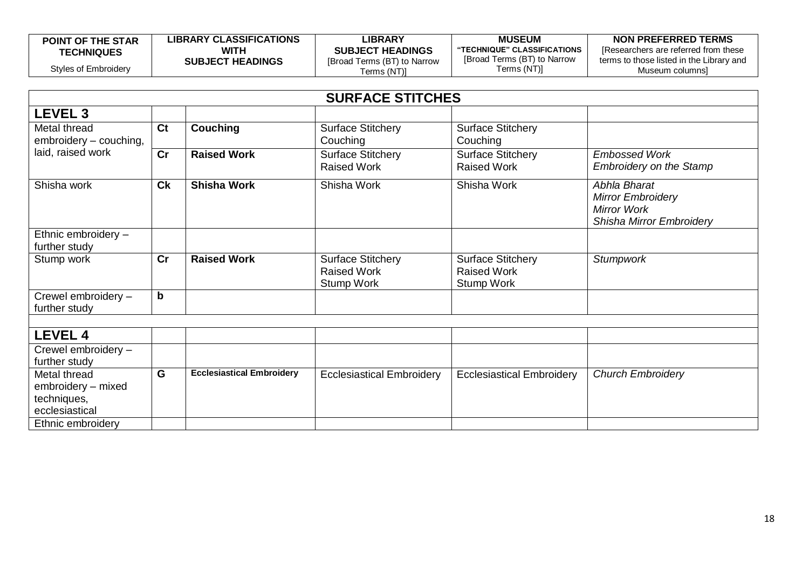| <b>POINT OF THE STAR</b> | <b>LIBRARY CLASSIFICATIONS</b> | <b>_IBRARY</b>              | <b>MUSEUM</b>               | NON PREFERRED TERMS                      |
|--------------------------|--------------------------------|-----------------------------|-----------------------------|------------------------------------------|
| <b>TECHNIQUES</b>        | <b>WITH</b>                    | <b>SUBJECT HEADINGS</b>     | "TECHNIQUE" CLASSIFICATIONS | IResearchers are referred from these     |
|                          | <b>SUBJECT HEADINGS</b>        | [Broad Terms (BT) to Narrow | [Broad Terms (BT) to Narrow | terms to those listed in the Library and |
| Styles of Embroidery     |                                | [(NT) Terms                 | Terms (NT)]                 | Museum columnsi                          |

|                                                                                          |                |                                  | <b>SURFACE STITCHES</b>                                             |                                                                     |                                                                                     |
|------------------------------------------------------------------------------------------|----------------|----------------------------------|---------------------------------------------------------------------|---------------------------------------------------------------------|-------------------------------------------------------------------------------------|
| <b>LEVEL 3</b>                                                                           |                |                                  |                                                                     |                                                                     |                                                                                     |
| Metal thread<br>embroidery - couching,                                                   | C <sub>t</sub> | <b>Couching</b>                  | <b>Surface Stitchery</b><br>Couching                                | <b>Surface Stitchery</b><br>Couching                                |                                                                                     |
| laid, raised work                                                                        | cr             | <b>Raised Work</b>               | <b>Surface Stitchery</b><br><b>Raised Work</b>                      | Surface Stitchery<br><b>Raised Work</b>                             | <b>Embossed Work</b><br><b>Embroidery on the Stamp</b>                              |
| Shisha work                                                                              | C <sub>k</sub> | <b>Shisha Work</b>               | Shisha Work                                                         | Shisha Work                                                         | Abhla Bharat<br><b>Mirror Embroidery</b><br>Mirror Work<br>Shisha Mirror Embroidery |
| Ethnic embroidery -<br>further study                                                     |                |                                  |                                                                     |                                                                     |                                                                                     |
| Stump work                                                                               | cr             | <b>Raised Work</b>               | <b>Surface Stitchery</b><br><b>Raised Work</b><br><b>Stump Work</b> | <b>Surface Stitchery</b><br><b>Raised Work</b><br><b>Stump Work</b> | <b>Stumpwork</b>                                                                    |
| Crewel embroidery -<br>further study                                                     | $\mathbf b$    |                                  |                                                                     |                                                                     |                                                                                     |
| <b>LEVEL 4</b>                                                                           |                |                                  |                                                                     |                                                                     |                                                                                     |
| Crewel embroidery -<br>further study                                                     |                |                                  |                                                                     |                                                                     |                                                                                     |
| Metal thread<br>embroidery - mixed<br>techniques,<br>ecclesiastical<br>Ethnic embroidery | G              | <b>Ecclesiastical Embroidery</b> | <b>Ecclesiastical Embroidery</b>                                    | <b>Ecclesiastical Embroidery</b>                                    | <b>Church Embroidery</b>                                                            |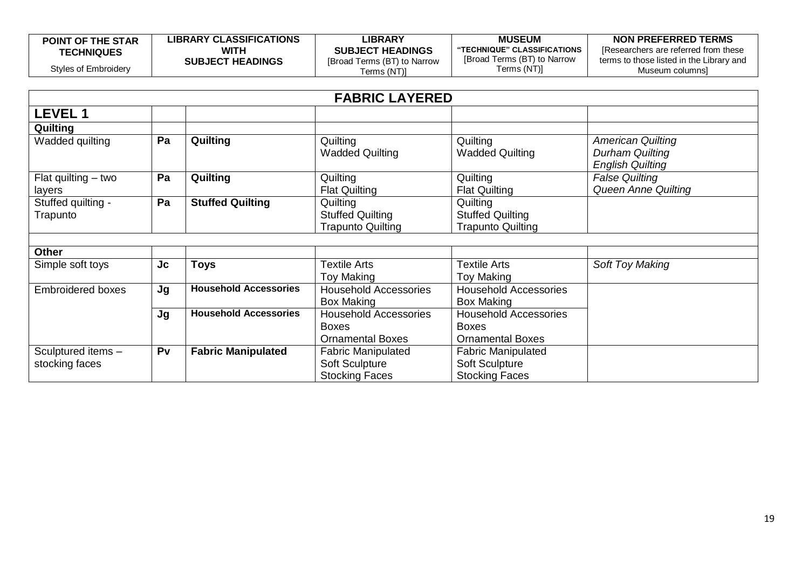| <b>POINT OF THE STAR</b> | <b>LIBRARY CLASSIFICATIONS</b> | LIBRARY                     | <b>MUSEUM</b>               | NON PREFERRED TERMS                      |
|--------------------------|--------------------------------|-----------------------------|-----------------------------|------------------------------------------|
| <b>TECHNIQUES</b>        | WITH                           | <b>SUBJECT HEADINGS</b>     | "TECHNIQUE" CLASSIFICATIONS | IResearchers are referred from these     |
|                          | <b>SUBJECT HEADINGS</b>        | [Broad Terms (BT) to Narrow | [Broad Terms (BT) to Narrow | terms to those listed in the Library and |
| Styles of Embroidery     |                                | Terms (NT)]                 | Terms (NT)]                 | Museum columnsi                          |

|                                      |           |                              | <b>FABRIC LAYERED</b>                                                   |                                                                         |                                                                               |
|--------------------------------------|-----------|------------------------------|-------------------------------------------------------------------------|-------------------------------------------------------------------------|-------------------------------------------------------------------------------|
| <b>LEVEL 1</b>                       |           |                              |                                                                         |                                                                         |                                                                               |
| Quilting                             |           |                              |                                                                         |                                                                         |                                                                               |
| Wadded quilting                      | Pa        | Quilting                     | Quilting<br><b>Wadded Quilting</b>                                      | Quilting<br><b>Wadded Quilting</b>                                      | <b>American Quilting</b><br><b>Durham Quilting</b><br><b>English Quilting</b> |
| Flat quilting $-$ two<br>layers      | Pa        | Quilting                     | Quilting<br><b>Flat Quilting</b>                                        | Quilting<br><b>Flat Quilting</b>                                        | <b>False Quilting</b><br>Queen Anne Quilting                                  |
| Stuffed quilting -<br>Trapunto       | Pa        | <b>Stuffed Quilting</b>      | Quilting<br><b>Stuffed Quilting</b><br><b>Trapunto Quilting</b>         | Quilting<br><b>Stuffed Quilting</b><br><b>Trapunto Quilting</b>         |                                                                               |
| <b>Other</b>                         |           |                              |                                                                         |                                                                         |                                                                               |
| Simple soft toys                     | <b>Jc</b> | Toys                         | <b>Textile Arts</b><br>Toy Making                                       | <b>Textile Arts</b><br>Toy Making                                       | <b>Soft Toy Making</b>                                                        |
| <b>Embroidered boxes</b>             | Jg        | <b>Household Accessories</b> | <b>Household Accessories</b><br><b>Box Making</b>                       | <b>Household Accessories</b><br><b>Box Making</b>                       |                                                                               |
|                                      | Jg        | <b>Household Accessories</b> | <b>Household Accessories</b><br><b>Boxes</b><br><b>Ornamental Boxes</b> | <b>Household Accessories</b><br><b>Boxes</b><br><b>Ornamental Boxes</b> |                                                                               |
| Sculptured items -<br>stocking faces | Pv        | <b>Fabric Manipulated</b>    | <b>Fabric Manipulated</b><br>Soft Sculpture<br><b>Stocking Faces</b>    | <b>Fabric Manipulated</b><br>Soft Sculpture<br><b>Stocking Faces</b>    |                                                                               |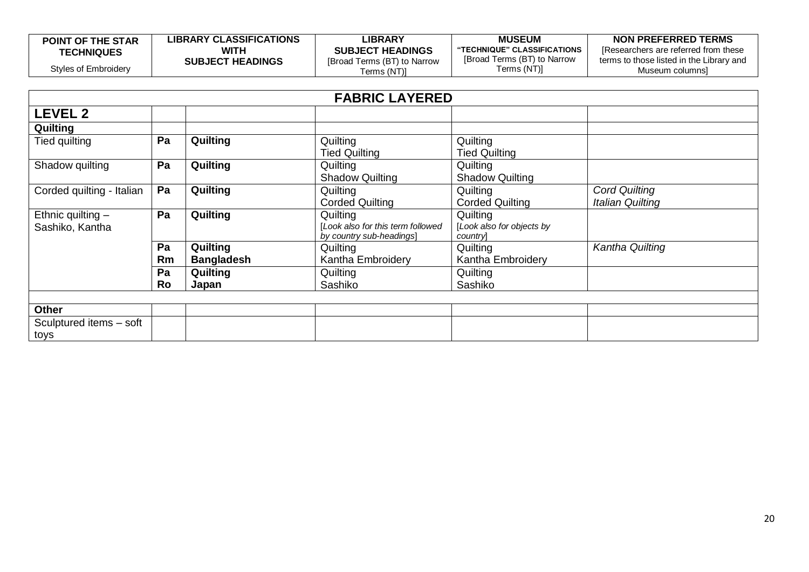| <b>POINT OF THE STAR</b> | <b>LIBRARY CLASSIFICATIONS</b> | <b>LIBRARY</b>              | <b>MUSEUM</b>               | NON PREFERRED TERMS                      |
|--------------------------|--------------------------------|-----------------------------|-----------------------------|------------------------------------------|
| <b>TECHNIQUES</b>        | <b>WITH</b>                    | <b>SUBJECT HEADINGS</b>     | "TECHNIQUE" CLASSIFICATIONS | [Researchers are referred from these     |
|                          | <b>SUBJECT HEADINGS</b>        | [Broad Terms (BT) to Narrow | [Broad Terms (BT) to Narrow | terms to those listed in the Library and |
| Styles of Embroidery     |                                | [erms (NT)]                 | Terms (NT)]                 | Museum columnsi                          |

|                           | <b>FABRIC LAYERED</b> |                   |                                                               |                                      |                         |  |  |
|---------------------------|-----------------------|-------------------|---------------------------------------------------------------|--------------------------------------|-------------------------|--|--|
| <b>LEVEL 2</b>            |                       |                   |                                                               |                                      |                         |  |  |
| Quilting                  |                       |                   |                                                               |                                      |                         |  |  |
| Tied quilting             | Pa                    | Quilting          | Quilting                                                      | Quilting                             |                         |  |  |
|                           |                       |                   | <b>Tied Quilting</b>                                          | <b>Tied Quilting</b>                 |                         |  |  |
| Shadow quilting           | Pa                    | <b>Quilting</b>   | Quilting                                                      | Quilting                             |                         |  |  |
|                           |                       |                   | <b>Shadow Quilting</b>                                        | <b>Shadow Quilting</b>               |                         |  |  |
| Corded quilting - Italian | Pa                    | <b>Quilting</b>   | Quilting                                                      | Quilting                             | <b>Cord Quilting</b>    |  |  |
|                           |                       |                   | <b>Corded Quilting</b>                                        | <b>Corded Quilting</b>               | <b>Italian Quilting</b> |  |  |
| Ethnic quilting $-$       | Pa                    | Quilting          | Quilting                                                      | Quilting                             |                         |  |  |
| Sashiko, Kantha           |                       |                   | [Look also for this term followed<br>by country sub-headings] | [Look also for objects by<br>country |                         |  |  |
|                           | Pa                    | Quilting          | Quilting                                                      | Quilting                             | Kantha Quilting         |  |  |
|                           | Rm                    | <b>Bangladesh</b> | Kantha Embroidery                                             | Kantha Embroidery                    |                         |  |  |
|                           | Pa                    | Quilting          | Quilting                                                      | Quilting                             |                         |  |  |
|                           | Ro                    | Japan             | Sashiko                                                       | Sashiko                              |                         |  |  |
|                           |                       |                   |                                                               |                                      |                         |  |  |
| <b>Other</b>              |                       |                   |                                                               |                                      |                         |  |  |
| Sculptured items - soft   |                       |                   |                                                               |                                      |                         |  |  |
| toys                      |                       |                   |                                                               |                                      |                         |  |  |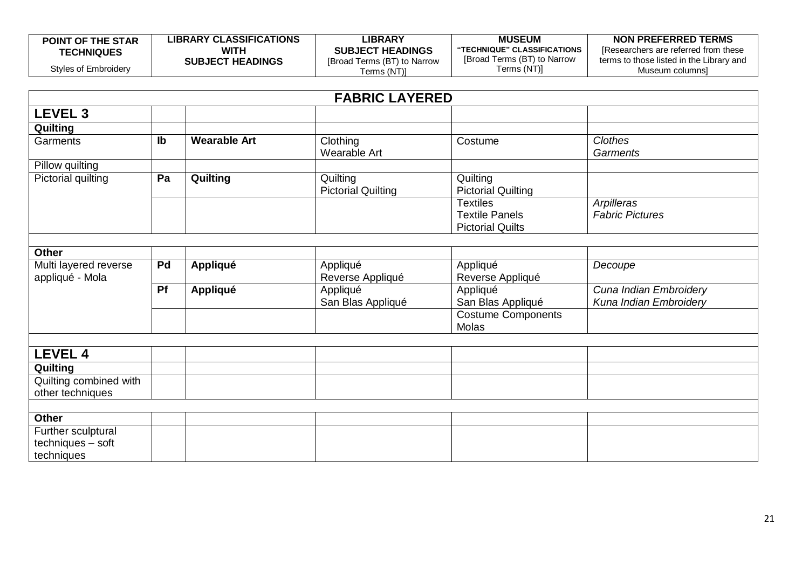| <b>POINT OF THE STAR</b> | <b>LIBRARY CLASSIFICATIONS</b> | <b>_IBRARY</b>              | <b>MUSEUM</b>                              | NON PREFERRED TERMS                      |
|--------------------------|--------------------------------|-----------------------------|--------------------------------------------|------------------------------------------|
| <b>TECHNIQUES</b>        | WITH                           | <b>SUBJECT HEADINGS</b>     | <b>"TECHNIQUE" CLASSIFICATIONS</b>         | Researchers are referred from these      |
| Styles of Embroidery     | <b>SUBJECT HEADINGS</b>        | [Broad Terms (BT) to Narrow | [Broad Terms (BT) to Narrow<br>Terms (NT)] | terms to those listed in the Library and |
|                          |                                | Terms (NT)]                 |                                            | Museum columnsi                          |

|                                            | <b>FABRIC LAYERED</b> |                     |                                       |                                                                     |                                                  |  |
|--------------------------------------------|-----------------------|---------------------|---------------------------------------|---------------------------------------------------------------------|--------------------------------------------------|--|
| <b>LEVEL 3</b>                             |                       |                     |                                       |                                                                     |                                                  |  |
| Quilting                                   |                       |                     |                                       |                                                                     |                                                  |  |
| Garments                                   | $\mathsf{lb}$         | <b>Wearable Art</b> | Clothing<br>Wearable Art              | Costume                                                             | <b>Clothes</b><br><b>Garments</b>                |  |
| Pillow quilting                            |                       |                     |                                       |                                                                     |                                                  |  |
| Pictorial quilting                         | Pa                    | Quilting            | Quilting<br><b>Pictorial Quilting</b> | Quilting<br><b>Pictorial Quilting</b>                               |                                                  |  |
|                                            |                       |                     |                                       | <b>Textiles</b><br><b>Textile Panels</b><br><b>Pictorial Quilts</b> | Arpilleras<br><b>Fabric Pictures</b>             |  |
|                                            |                       |                     |                                       |                                                                     |                                                  |  |
| <b>Other</b>                               |                       |                     |                                       |                                                                     |                                                  |  |
| Multi layered reverse<br>appliqué - Mola   | Pd                    | <b>Appliqué</b>     | Appliqué<br>Reverse Appliqué          | Appliqué<br>Reverse Appliqué                                        | Decoupe                                          |  |
|                                            | Pf                    | <b>Appliqué</b>     | Appliqué<br>San Blas Appliqué         | Appliqué<br>San Blas Appliqué                                       | Cuna Indian Embroidery<br>Kuna Indian Embroidery |  |
|                                            |                       |                     |                                       | <b>Costume Components</b><br>Molas                                  |                                                  |  |
|                                            |                       |                     |                                       |                                                                     |                                                  |  |
| <b>LEVEL 4</b>                             |                       |                     |                                       |                                                                     |                                                  |  |
| Quilting                                   |                       |                     |                                       |                                                                     |                                                  |  |
| Quilting combined with<br>other techniques |                       |                     |                                       |                                                                     |                                                  |  |
|                                            |                       |                     |                                       |                                                                     |                                                  |  |
| <b>Other</b>                               |                       |                     |                                       |                                                                     |                                                  |  |
| Further sculptural                         |                       |                     |                                       |                                                                     |                                                  |  |
| techniques - soft<br>techniques            |                       |                     |                                       |                                                                     |                                                  |  |
|                                            |                       |                     |                                       |                                                                     |                                                  |  |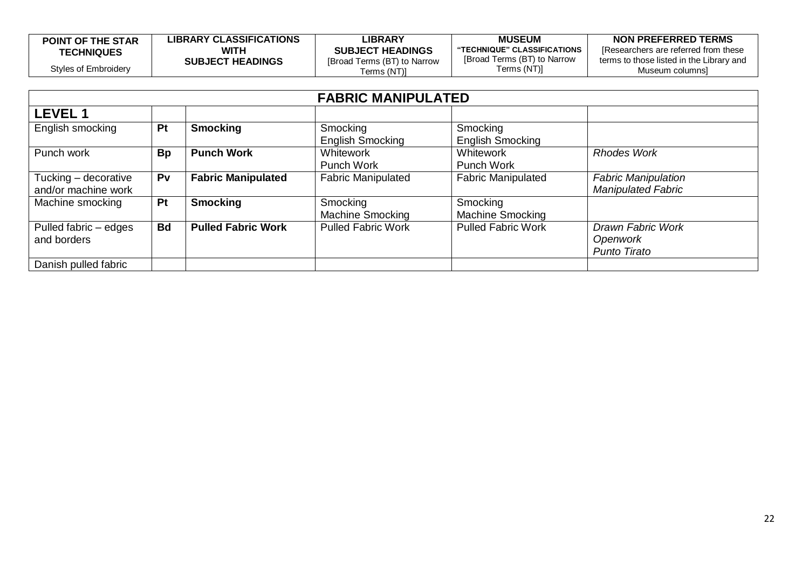| <b>POINT OF THE STAR</b> | <b>LIBRARY CLASSIFICATIONS</b> | LIBRARY                     | <b>MUSEUM</b>               | NON PREFERRED TERMS                      |
|--------------------------|--------------------------------|-----------------------------|-----------------------------|------------------------------------------|
| <b>TECHNIQUES</b>        | WITH                           | <b>SUBJECT HEADINGS</b>     | "TECHNIQUE" CLASSIFICATIONS | [Researchers are referred from these     |
|                          | <b>SUBJECT HEADINGS</b>        | [Broad Terms (BT) to Narrow | [Broad Terms (BT) to Narrow | terms to those listed in the Library and |
| Styles of Embroidery     |                                | Terms (NT)]                 | Terms (NT)]                 | Museum columns]                          |

|                                             | <b>FABRIC MANIPULATED</b> |                           |                                       |                                     |                                                         |  |
|---------------------------------------------|---------------------------|---------------------------|---------------------------------------|-------------------------------------|---------------------------------------------------------|--|
| <b>LEVEL1</b>                               |                           |                           |                                       |                                     |                                                         |  |
| English smocking                            | Pt                        | <b>Smocking</b>           | Smocking<br><b>English Smocking</b>   | Smocking<br><b>English Smocking</b> |                                                         |  |
| Punch work                                  | <b>Bp</b>                 | <b>Punch Work</b>         | <b>Whitework</b><br><b>Punch Work</b> | Whitework<br><b>Punch Work</b>      | <b>Rhodes Work</b>                                      |  |
| Tucking - decorative<br>and/or machine work | Pv                        | <b>Fabric Manipulated</b> | <b>Fabric Manipulated</b>             | <b>Fabric Manipulated</b>           | <b>Fabric Manipulation</b><br><b>Manipulated Fabric</b> |  |
| Machine smocking                            | Pt                        | <b>Smocking</b>           | Smocking<br><b>Machine Smocking</b>   | Smocking<br><b>Machine Smocking</b> |                                                         |  |
| Pulled fabric - edges<br>and borders        | <b>Bd</b>                 | <b>Pulled Fabric Work</b> | <b>Pulled Fabric Work</b>             | <b>Pulled Fabric Work</b>           | Drawn Fabric Work<br>Openwork<br><b>Punto Tirato</b>    |  |
| Danish pulled fabric                        |                           |                           |                                       |                                     |                                                         |  |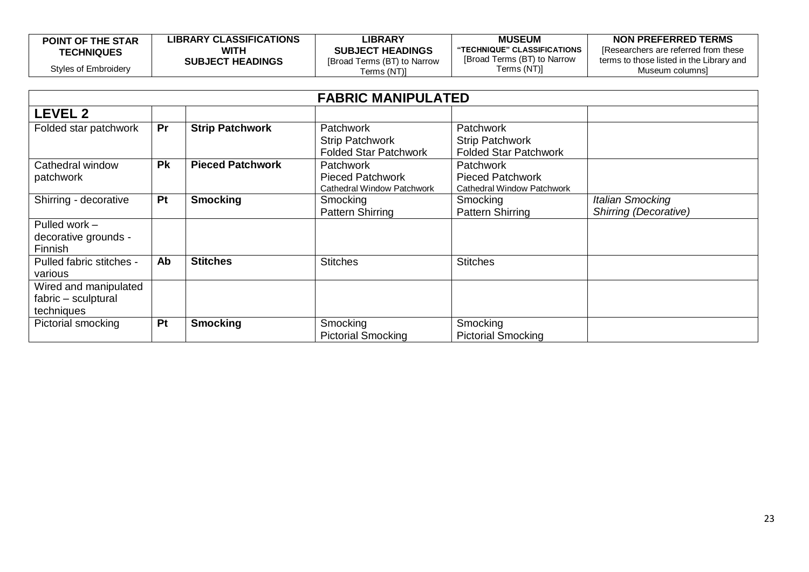| <b>POINT OF THE STAR</b> | <b>LIBRARY CLASSIFICATIONS</b> | LIBRARY                                    | <b>MUSEUM</b>                              | NON PREFERRED TERMS                                         |
|--------------------------|--------------------------------|--------------------------------------------|--------------------------------------------|-------------------------------------------------------------|
| <b>TECHNIQUES</b>        | WITH                           | <b>SUBJECT HEADINGS</b>                    | "TECHNIQUE" CLASSIFICATIONS                | IResearchers are referred from these                        |
| Styles of Embroidery     | <b>SUBJECT HEADINGS</b>        | [Broad Terms (BT) to Narrow<br>[ferms (NT) | [Broad Terms (BT) to Narrow<br>Terms (NT)] | terms to those listed in the Library and<br>Museum columnsi |

| <b>FABRIC MANIPULATED</b> |           |                         |                              |                              |                         |
|---------------------------|-----------|-------------------------|------------------------------|------------------------------|-------------------------|
| <b>LEVEL 2</b>            |           |                         |                              |                              |                         |
| Folded star patchwork     | Pr        | <b>Strip Patchwork</b>  | <b>Patchwork</b>             | <b>Patchwork</b>             |                         |
|                           |           |                         | <b>Strip Patchwork</b>       | <b>Strip Patchwork</b>       |                         |
|                           |           |                         | <b>Folded Star Patchwork</b> | <b>Folded Star Patchwork</b> |                         |
| Cathedral window          | <b>Pk</b> | <b>Pieced Patchwork</b> | <b>Patchwork</b>             | <b>Patchwork</b>             |                         |
| patchwork                 |           |                         | <b>Pieced Patchwork</b>      | <b>Pieced Patchwork</b>      |                         |
|                           |           |                         | Cathedral Window Patchwork   | Cathedral Window Patchwork   |                         |
| Shirring - decorative     | <b>Pt</b> | <b>Smocking</b>         | Smocking                     | Smocking                     | <b>Italian Smocking</b> |
|                           |           |                         | <b>Pattern Shirring</b>      | <b>Pattern Shirring</b>      | Shirring (Decorative)   |
| Pulled work -             |           |                         |                              |                              |                         |
| decorative grounds -      |           |                         |                              |                              |                         |
| Finnish                   |           |                         |                              |                              |                         |
| Pulled fabric stitches -  | Ab        | <b>Stitches</b>         | <b>Stitches</b>              | <b>Stitches</b>              |                         |
| various                   |           |                         |                              |                              |                         |
| Wired and manipulated     |           |                         |                              |                              |                         |
| fabric - sculptural       |           |                         |                              |                              |                         |
| techniques                |           |                         |                              |                              |                         |
| Pictorial smocking        | Pt        | <b>Smocking</b>         | Smocking                     | Smocking                     |                         |
|                           |           |                         | <b>Pictorial Smocking</b>    | <b>Pictorial Smocking</b>    |                         |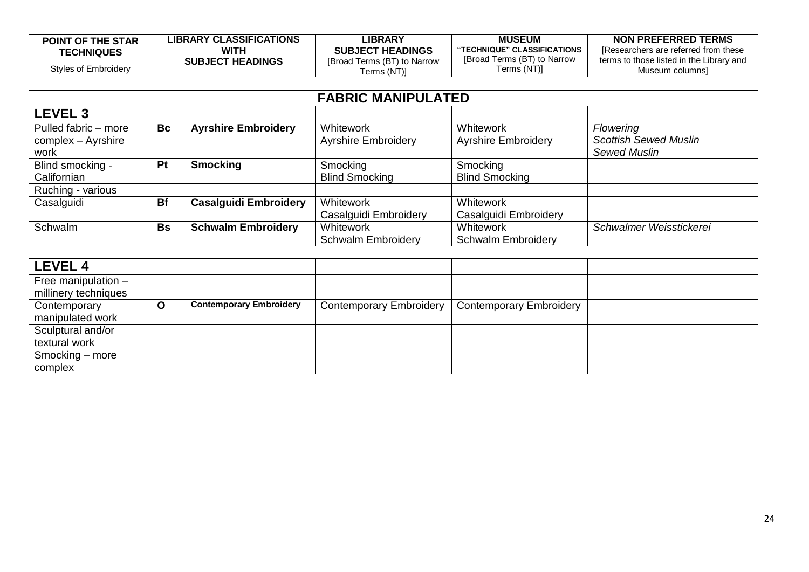| <b>POINT OF THE STAR</b> | <b>LIBRARY CLASSIFICATIONS</b> | LIBRARY                     | <b>MUSEUM</b>               | NON PREFERRED TERMS                      |
|--------------------------|--------------------------------|-----------------------------|-----------------------------|------------------------------------------|
| <b>TECHNIQUES</b>        | WITH                           | <b>SUBJECT HEADINGS</b>     | "TECHNIQUE" CLASSIFICATIONS | IResearchers are referred from these     |
|                          | <b>SUBJECT HEADINGS</b>        | [Broad Terms (BT) to Narrow | [Broad Terms (BT) to Narrow | terms to those listed in the Library and |
| Styles of Embroidery     |                                | [ferms (NT)                 | Terms (NT)]                 | Museum columnsì                          |

| <b>FABRIC MANIPULATED</b> |           |                                |                                |                                |                                                     |
|---------------------------|-----------|--------------------------------|--------------------------------|--------------------------------|-----------------------------------------------------|
| LEVEL <sub>3</sub>        |           |                                |                                |                                |                                                     |
| Pulled fabric - more      | <b>Bc</b> | <b>Ayrshire Embroidery</b>     | <b>Whitework</b>               | <b>Whitework</b>               | <b>Flowering</b>                                    |
| complex - Ayrshire        |           |                                | <b>Ayrshire Embroidery</b>     | <b>Ayrshire Embroidery</b>     | <b>Scottish Sewed Muslin</b><br><b>Sewed Muslin</b> |
| work<br>Blind smocking -  | Pt        | <b>Smocking</b>                | Smocking                       | Smocking                       |                                                     |
| Californian               |           |                                | <b>Blind Smocking</b>          | <b>Blind Smocking</b>          |                                                     |
| Ruching - various         |           |                                |                                |                                |                                                     |
| Casalguidi                | <b>Bf</b> | <b>Casalguidi Embroidery</b>   | <b>Whitework</b>               | Whitework                      |                                                     |
|                           |           |                                | Casalguidi Embroidery          | Casalguidi Embroidery          |                                                     |
| Schwalm                   | <b>Bs</b> | <b>Schwalm Embroidery</b>      | <b>Whitework</b>               | <b>Whitework</b>               | Schwalmer Weisstickerei                             |
|                           |           |                                | <b>Schwalm Embroidery</b>      | <b>Schwalm Embroidery</b>      |                                                     |
|                           |           |                                |                                |                                |                                                     |
| <b>LEVEL 4</b>            |           |                                |                                |                                |                                                     |
| Free manipulation -       |           |                                |                                |                                |                                                     |
| millinery techniques      |           |                                |                                |                                |                                                     |
| Contemporary              | O         | <b>Contemporary Embroidery</b> | <b>Contemporary Embroidery</b> | <b>Contemporary Embroidery</b> |                                                     |
| manipulated work          |           |                                |                                |                                |                                                     |
| Sculptural and/or         |           |                                |                                |                                |                                                     |
| textural work             |           |                                |                                |                                |                                                     |
| Smocking - more           |           |                                |                                |                                |                                                     |
| complex                   |           |                                |                                |                                |                                                     |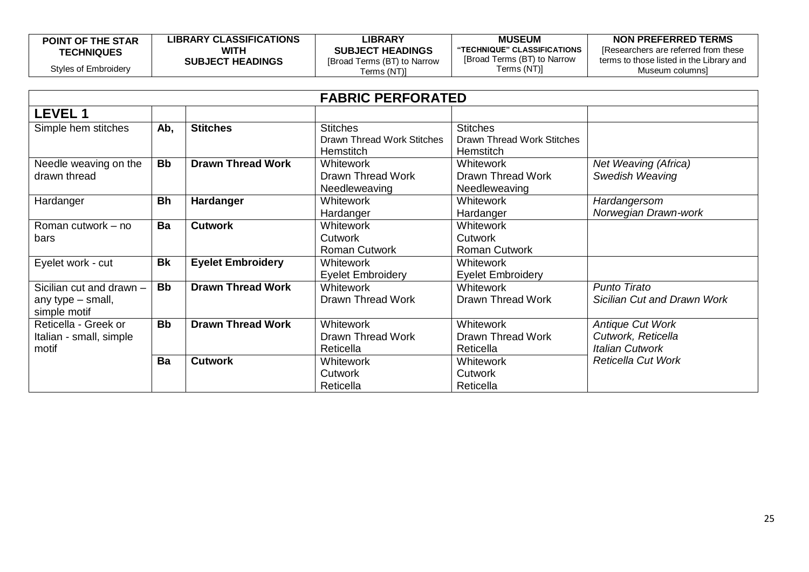| <b>POINT OF THE STAR</b> | <b>LIBRARY CLASSIFICATIONS</b> | LIBRARY                     | <b>MUSEUM</b>               | NON PREFERRED TERMS                      |
|--------------------------|--------------------------------|-----------------------------|-----------------------------|------------------------------------------|
| <b>TECHNIQUES</b>        | WITH                           | <b>SUBJECT HEADINGS</b>     | "TECHNIQUE" CLASSIFICATIONS | Researchers are referred from these      |
|                          | <b>SUBJECT HEADINGS</b>        | [Broad Terms (BT) to Narrow | [Broad Terms (BT) to Narrow | terms to those listed in the Library and |
| Styles of Embroidery     |                                | Terms (NT)]                 | Terms (NT)]                 | Museum columnsì                          |

| <b>FABRIC PERFORATED</b>                                      |           |                          |                                                                   |                                                            |                                                                         |
|---------------------------------------------------------------|-----------|--------------------------|-------------------------------------------------------------------|------------------------------------------------------------|-------------------------------------------------------------------------|
| <b>LEVEL 1</b>                                                |           |                          |                                                                   |                                                            |                                                                         |
| Simple hem stitches                                           | Ab,       | <b>Stitches</b>          | <b>Stitches</b><br>Drawn Thread Work Stitches<br><b>Hemstitch</b> | <b>Stitches</b><br>Drawn Thread Work Stitches<br>Hemstitch |                                                                         |
| Needle weaving on the<br>drawn thread                         | <b>Bb</b> | <b>Drawn Thread Work</b> | Whitework<br>Drawn Thread Work<br>Needleweaving                   | <b>Whitework</b><br>Drawn Thread Work<br>Needleweaving     | Net Weaving (Africa)<br>Swedish Weaving                                 |
| Hardanger                                                     | <b>Bh</b> | Hardanger                | <b>Whitework</b><br>Hardanger                                     | <b>Whitework</b><br>Hardanger                              | Hardangersom<br>Norwegian Drawn-work                                    |
| Roman cutwork – no<br>bars                                    | Ba        | <b>Cutwork</b>           | <b>Whitework</b><br>Cutwork<br><b>Roman Cutwork</b>               | <b>Whitework</b><br>Cutwork<br><b>Roman Cutwork</b>        |                                                                         |
| Eyelet work - cut                                             | <b>Bk</b> | <b>Eyelet Embroidery</b> | <b>Whitework</b><br><b>Eyelet Embroidery</b>                      | Whitework<br><b>Eyelet Embroidery</b>                      |                                                                         |
| Sicilian cut and drawn -<br>any type - small,<br>simple motif | <b>Bb</b> | <b>Drawn Thread Work</b> | <b>Whitework</b><br>Drawn Thread Work                             | <b>Whitework</b><br><b>Drawn Thread Work</b>               | <b>Punto Tirato</b><br>Sicilian Cut and Drawn Work                      |
| Reticella - Greek or<br>Italian - small, simple<br>motif      | <b>Bb</b> | <b>Drawn Thread Work</b> | <b>Whitework</b><br>Drawn Thread Work<br>Reticella                | <b>Whitework</b><br>Drawn Thread Work<br>Reticella         | <b>Antique Cut Work</b><br>Cutwork, Reticella<br><b>Italian Cutwork</b> |
|                                                               | Ba        | <b>Cutwork</b>           | <b>Whitework</b><br><b>Cutwork</b><br>Reticella                   | Whitework<br><b>Cutwork</b><br>Reticella                   | <b>Reticella Cut Work</b>                                               |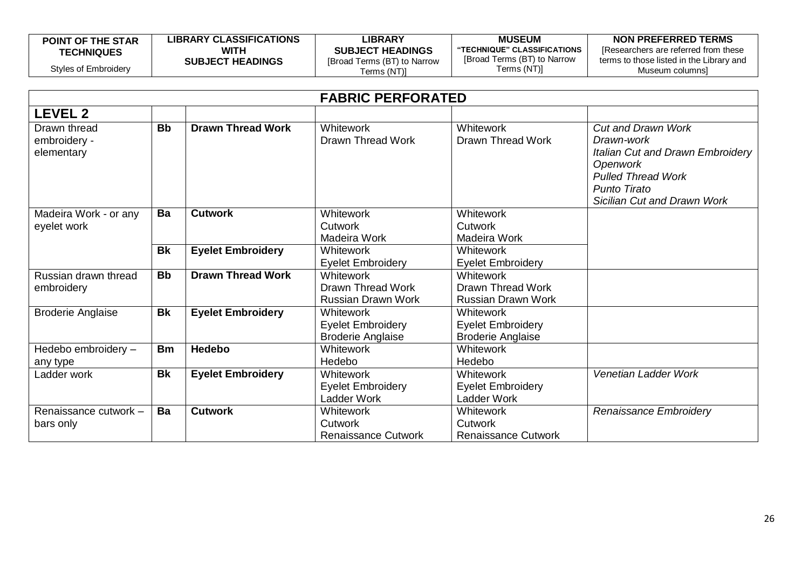| <b>POINT OF THE STAR</b> | <b>LIBRARY CLASSIFICATIONS</b> | <b>_IBRARY</b>              | <b>MUSEUM</b>               | NON PREFERRED TERMS                      |
|--------------------------|--------------------------------|-----------------------------|-----------------------------|------------------------------------------|
| <b>TECHNIQUES</b>        | <b>WITH</b>                    | <b>SUBJECT HEADINGS</b>     | "TECHNIQUE" CLASSIFICATIONS | I Researchers are referred from these    |
|                          | <b>SUBJECT HEADINGS</b>        | [Broad Terms (BT) to Narrow | [Broad Terms (BT) to Narrow | terms to those listed in the Library and |
| Styles of Embroidery     |                                | [(NT) Terms                 | Terms (NT)]                 | Museum columnsi                          |

| <b>FABRIC PERFORATED</b>                   |           |                          |                                                                          |                                                                    |                                                                                                                                                                     |
|--------------------------------------------|-----------|--------------------------|--------------------------------------------------------------------------|--------------------------------------------------------------------|---------------------------------------------------------------------------------------------------------------------------------------------------------------------|
| <b>LEVEL 2</b>                             |           |                          |                                                                          |                                                                    |                                                                                                                                                                     |
| Drawn thread<br>embroidery -<br>elementary | <b>Bb</b> | <b>Drawn Thread Work</b> | <b>Whitework</b><br>Drawn Thread Work                                    | Whitework<br>Drawn Thread Work                                     | <b>Cut and Drawn Work</b><br>Drawn-work<br>Italian Cut and Drawn Embroidery<br>Openwork<br><b>Pulled Thread Work</b><br>Punto Tirato<br>Sicilian Cut and Drawn Work |
| Madeira Work - or any<br>eyelet work       | Ba        | <b>Cutwork</b>           | Whitework<br>Cutwork<br>Madeira Work                                     | <b>Whitework</b><br>Cutwork<br>Madeira Work                        |                                                                                                                                                                     |
|                                            | <b>Bk</b> | <b>Eyelet Embroidery</b> | Whitework<br><b>Eyelet Embroidery</b>                                    | Whitework<br><b>Eyelet Embroidery</b>                              |                                                                                                                                                                     |
| Russian drawn thread<br>embroidery         | <b>Bb</b> | <b>Drawn Thread Work</b> | <b>Whitework</b><br>Drawn Thread Work<br><b>Russian Drawn Work</b>       | Whitework<br><b>Drawn Thread Work</b><br><b>Russian Drawn Work</b> |                                                                                                                                                                     |
| <b>Broderie Anglaise</b>                   | <b>Bk</b> | <b>Eyelet Embroidery</b> | <b>Whitework</b><br><b>Eyelet Embroidery</b><br><b>Broderie Anglaise</b> | Whitework<br><b>Eyelet Embroidery</b><br><b>Broderie Anglaise</b>  |                                                                                                                                                                     |
| Hedebo embroidery -<br>any type            | <b>Bm</b> | <b>Hedebo</b>            | <b>Whitework</b><br>Hedebo                                               | <b>Whitework</b><br>Hedebo                                         |                                                                                                                                                                     |
| Ladder work                                | <b>Bk</b> | <b>Eyelet Embroidery</b> | <b>Whitework</b><br><b>Eyelet Embroidery</b><br>Ladder Work              | <b>Whitework</b><br><b>Eyelet Embroidery</b><br>Ladder Work        | Venetian Ladder Work                                                                                                                                                |
| Renaissance cutwork -<br>bars only         | Ba        | <b>Cutwork</b>           | Whitework<br>Cutwork<br><b>Renaissance Cutwork</b>                       | Whitework<br>Cutwork<br><b>Renaissance Cutwork</b>                 | Renaissance Embroidery                                                                                                                                              |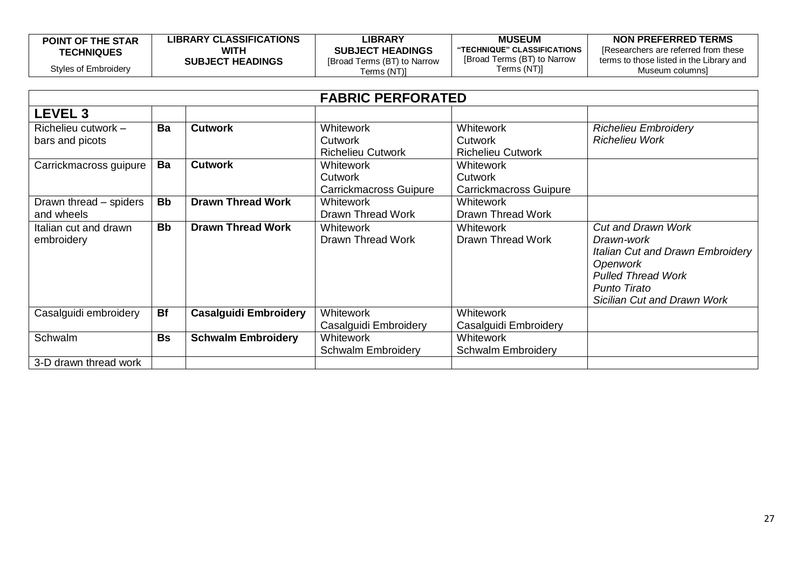| <b>POINT OF THE STAR</b> | <b>LIBRARY CLASSIFICATIONS</b> | LIBRARY                     | <b>MUSEUM</b>               | NON PREFERRED TERMS                      |
|--------------------------|--------------------------------|-----------------------------|-----------------------------|------------------------------------------|
| <b>TECHNIQUES</b>        | WITH                           | <b>SUBJECT HEADINGS</b>     | "TECHNIQUE" CLASSIFICATIONS | Researchers are referred from these      |
|                          | <b>SUBJECT HEADINGS</b>        | [Broad Terms (BT) to Narrow | [Broad Terms (BT) to Narrow | terms to those listed in the Library and |
| Styles of Embroidery     |                                | Terms (NT)]                 | Terms (NT)]                 | Museum columnsì                          |

|                        | <b>FABRIC PERFORATED</b> |                              |                           |                           |                                    |  |
|------------------------|--------------------------|------------------------------|---------------------------|---------------------------|------------------------------------|--|
| <b>LEVEL 3</b>         |                          |                              |                           |                           |                                    |  |
| Richelieu cutwork -    | Ba                       | <b>Cutwork</b>               | <b>Whitework</b>          | <b>Whitework</b>          | <b>Richelieu Embroidery</b>        |  |
| bars and picots        |                          |                              | Cutwork                   | Cutwork                   | <b>Richelieu Work</b>              |  |
|                        |                          |                              | <b>Richelieu Cutwork</b>  | <b>Richelieu Cutwork</b>  |                                    |  |
| Carrickmacross guipure | Ba                       | <b>Cutwork</b>               | <b>Whitework</b>          | <b>Whitework</b>          |                                    |  |
|                        |                          |                              | Cutwork                   | Cutwork                   |                                    |  |
|                        |                          |                              | Carrickmacross Guipure    | Carrickmacross Guipure    |                                    |  |
| Drawn thread – spiders | <b>Bb</b>                | <b>Drawn Thread Work</b>     | <b>Whitework</b>          | <b>Whitework</b>          |                                    |  |
| and wheels             |                          |                              | Drawn Thread Work         | Drawn Thread Work         |                                    |  |
| Italian cut and drawn  | <b>Bb</b>                | <b>Drawn Thread Work</b>     | <b>Whitework</b>          | <b>Whitework</b>          | <b>Cut and Drawn Work</b>          |  |
| embroidery             |                          |                              | Drawn Thread Work         | Drawn Thread Work         | Drawn-work                         |  |
|                        |                          |                              |                           |                           | Italian Cut and Drawn Embroidery   |  |
|                        |                          |                              |                           |                           | <b>Openwork</b>                    |  |
|                        |                          |                              |                           |                           | <b>Pulled Thread Work</b>          |  |
|                        |                          |                              |                           |                           | Punto Tirato                       |  |
|                        |                          |                              |                           |                           | <b>Sicilian Cut and Drawn Work</b> |  |
| Casalguidi embroidery  | <b>Bf</b>                | <b>Casalguidi Embroidery</b> | <b>Whitework</b>          | Whitework                 |                                    |  |
|                        |                          |                              | Casalguidi Embroidery     | Casalguidi Embroidery     |                                    |  |
| Schwalm                | <b>Bs</b>                | <b>Schwalm Embroidery</b>    | <b>Whitework</b>          | <b>Whitework</b>          |                                    |  |
|                        |                          |                              | <b>Schwalm Embroidery</b> | <b>Schwalm Embroidery</b> |                                    |  |
| 3-D drawn thread work  |                          |                              |                           |                           |                                    |  |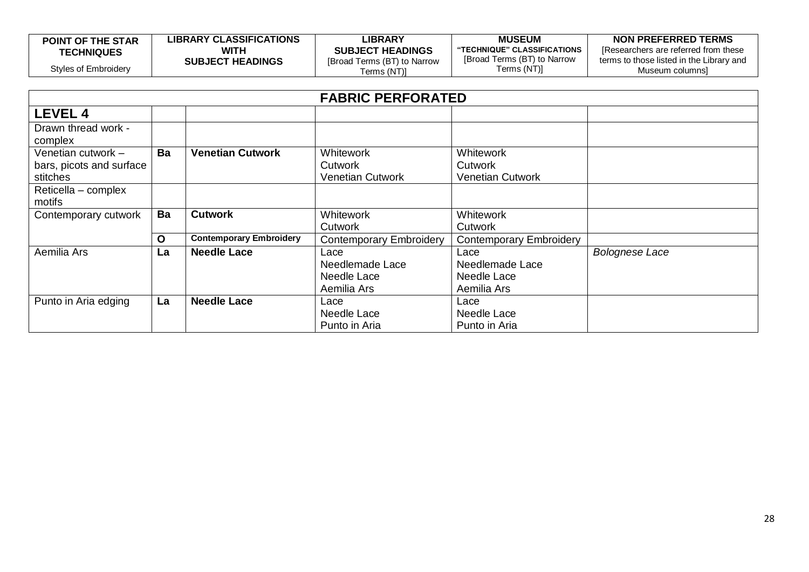| <b>POINT OF THE STAR</b> | <b>LIBRARY CLASSIFICATIONS</b> | LIBRARY                     | <b>MUSEUM</b>               | NON PREFERRED TERMS                      |
|--------------------------|--------------------------------|-----------------------------|-----------------------------|------------------------------------------|
| <b>TECHNIQUES</b>        | WITH                           | <b>SUBJECT HEADINGS</b>     | "TECHNIQUE" CLASSIFICATIONS | Researchers are referred from these      |
|                          | <b>SUBJECT HEADINGS</b>        | [Broad Terms (BT) to Narrow | [Broad Terms (BT) to Narrow | terms to those listed in the Library and |
| Styles of Embroidery     |                                | Terms (NT)]_                | Terms (NT)]                 | Museum columnsi                          |

| <b>FABRIC PERFORATED</b>                                                          |             |                                |                                                       |                                                        |                       |
|-----------------------------------------------------------------------------------|-------------|--------------------------------|-------------------------------------------------------|--------------------------------------------------------|-----------------------|
| <b>LEVEL 4</b>                                                                    |             |                                |                                                       |                                                        |                       |
| Drawn thread work -<br>complex                                                    |             |                                |                                                       |                                                        |                       |
| Venetian cutwork -<br>bars, picots and surface<br>stitches<br>Reticella - complex | Ba          | <b>Venetian Cutwork</b>        | <b>Whitework</b><br>Cutwork<br>Venetian Cutwork       | <b>Whitework</b><br>Cutwork<br><b>Venetian Cutwork</b> |                       |
| motifs                                                                            |             |                                |                                                       |                                                        |                       |
| Contemporary cutwork                                                              | Ba          | <b>Cutwork</b>                 | <b>Whitework</b><br><b>Cutwork</b>                    | <b>Whitework</b><br>Cutwork                            |                       |
|                                                                                   | $\mathbf O$ | <b>Contemporary Embroidery</b> | <b>Contemporary Embroidery</b>                        | <b>Contemporary Embroidery</b>                         |                       |
| Aemilia Ars                                                                       | La          | <b>Needle Lace</b>             | Lace<br>Needlemade Lace<br>Needle Lace<br>Aemilia Ars | Lace<br>Needlemade Lace<br>Needle Lace<br>Aemilia Ars  | <b>Bolognese Lace</b> |
| Punto in Aria edging                                                              | La          | <b>Needle Lace</b>             | Lace<br>Needle Lace<br>Punto in Aria                  | Lace<br>Needle Lace<br>Punto in Aria                   |                       |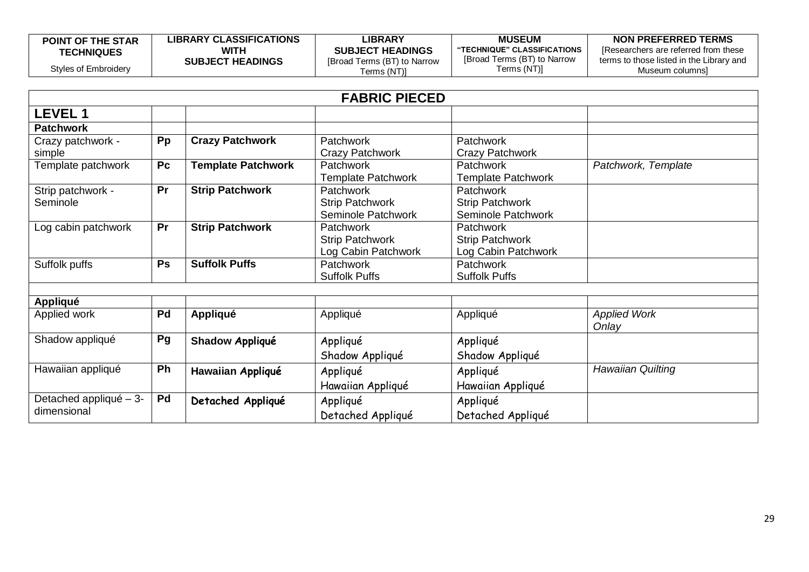| <b>POINT OF THE STAR</b> | <b>LIBRARY CLASSIFICATIONS</b> | LIBRARY                     | <b>MUSEUM</b>               | NON PREFERRED TERMS                      |
|--------------------------|--------------------------------|-----------------------------|-----------------------------|------------------------------------------|
| <b>TECHNIQUES</b>        | WITH                           | <b>SUBJECT HEADINGS</b>     | "TECHNIQUE" CLASSIFICATIONS | [Researchers are referred from these]    |
|                          | <b>SUBJECT HEADINGS</b>        | [Broad Terms (BT) to Narrow | [Broad Terms (BT) to Narrow | terms to those listed in the Library and |
| Styles of Embroidery     |                                | [erms (NT)]                 | Terms (NT)]                 | Museum columnsi                          |

| <b>FABRIC PIECED</b>                |           |                           |                           |                           |                     |
|-------------------------------------|-----------|---------------------------|---------------------------|---------------------------|---------------------|
| <b>LEVEL 1</b>                      |           |                           |                           |                           |                     |
| <b>Patchwork</b>                    |           |                           |                           |                           |                     |
| Crazy patchwork -                   | Pp        | <b>Crazy Patchwork</b>    | <b>Patchwork</b>          | <b>Patchwork</b>          |                     |
| simple                              |           |                           | Crazy Patchwork           | Crazy Patchwork           |                     |
| Template patchwork                  | Pc        | <b>Template Patchwork</b> | Patchwork                 | Patchwork                 | Patchwork, Template |
|                                     |           |                           | <b>Template Patchwork</b> | <b>Template Patchwork</b> |                     |
| Strip patchwork -                   | Pr        | <b>Strip Patchwork</b>    | <b>Patchwork</b>          | <b>Patchwork</b>          |                     |
| Seminole                            |           |                           | <b>Strip Patchwork</b>    | <b>Strip Patchwork</b>    |                     |
|                                     |           |                           | Seminole Patchwork        | Seminole Patchwork        |                     |
| Log cabin patchwork                 | Pr        | <b>Strip Patchwork</b>    | <b>Patchwork</b>          | Patchwork                 |                     |
|                                     |           |                           | <b>Strip Patchwork</b>    | Strip Patchwork           |                     |
|                                     |           |                           | Log Cabin Patchwork       | Log Cabin Patchwork       |                     |
| Suffolk puffs                       | <b>Ps</b> | <b>Suffolk Puffs</b>      | Patchwork                 | Patchwork                 |                     |
|                                     |           |                           | <b>Suffolk Puffs</b>      | <b>Suffolk Puffs</b>      |                     |
| <b>Appliqué</b>                     |           |                           |                           |                           |                     |
| Applied work                        | Pd        | <b>Appliqué</b>           | Appliqué                  | Appliqué                  | <b>Applied Work</b> |
|                                     |           |                           |                           |                           | Onlay               |
| Shadow appliqué                     | Pg        | Shadow Appliqué           | Appliqué                  | Appliqué                  |                     |
|                                     |           |                           | Shadow Appliqué           | Shadow Appliqué           |                     |
| Hawaiian appliqué                   | Ph        | Hawaiian Appliqué         | Appliqué                  | Appliqué                  | Hawaiian Quilting   |
|                                     |           |                           | Hawaiian Appliqué         | Hawaiian Appliqué         |                     |
| Detached appliqué $-\overline{3}$ - | Pd        | Detached Appliqué         | Appliqué                  | Appliqué                  |                     |
| dimensional                         |           |                           | Detached Appliqué         | Detached Appliqué         |                     |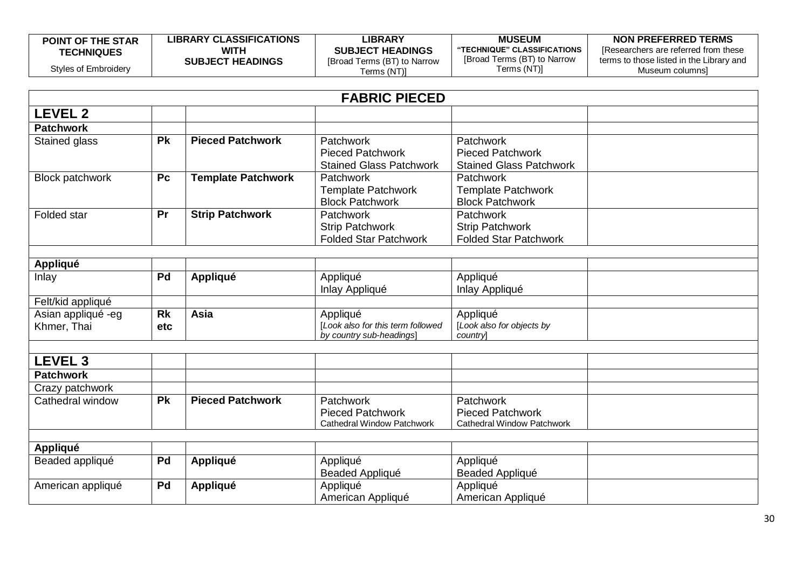| <b>POINT OF THE STAR</b> | <b>LIBRARY CLASSIFICATIONS</b> | <b>LIBRARY</b>              | <b>MUSEUM</b>               | NON PREFERRED TERMS                      |
|--------------------------|--------------------------------|-----------------------------|-----------------------------|------------------------------------------|
| <b>TECHNIQUES</b>        | WITH                           | <b>SUBJECT HEADINGS</b>     | "TECHNIQUE" CLASSIFICATIONS | Researchers are referred from these      |
|                          | <b>SUBJECT HEADINGS</b>        | [Broad Terms (BT) to Narrow | [Broad Terms (BT) to Narrow | terms to those listed in the Library and |
| Styles of Embroidery     |                                | [erms (NT)                  | Terms (NT)]                 | Museum columnsi                          |

|                                   |                  |                           | <b>FABRIC PIECED</b>                                                      |                                                                                  |  |
|-----------------------------------|------------------|---------------------------|---------------------------------------------------------------------------|----------------------------------------------------------------------------------|--|
| <b>LEVEL 2</b>                    |                  |                           |                                                                           |                                                                                  |  |
| <b>Patchwork</b>                  |                  |                           |                                                                           |                                                                                  |  |
| Stained glass                     | <b>Pk</b>        | <b>Pieced Patchwork</b>   | Patchwork<br><b>Pieced Patchwork</b><br><b>Stained Glass Patchwork</b>    | Patchwork<br><b>Pieced Patchwork</b><br><b>Stained Glass Patchwork</b>           |  |
| Block patchwork                   | P <sub>c</sub>   | <b>Template Patchwork</b> | Patchwork<br><b>Template Patchwork</b><br><b>Block Patchwork</b>          | <b>Patchwork</b><br><b>Template Patchwork</b><br><b>Block Patchwork</b>          |  |
| Folded star                       | Pr               | <b>Strip Patchwork</b>    | Patchwork<br><b>Strip Patchwork</b><br><b>Folded Star Patchwork</b>       | Patchwork<br><b>Strip Patchwork</b><br><b>Folded Star Patchwork</b>              |  |
| <b>Appliqué</b>                   |                  |                           |                                                                           |                                                                                  |  |
| Inlay                             | Pd               | <b>Appliqué</b>           | Appliqué<br>Inlay Appliqué                                                | Appliqué<br>Inlay Appliqué                                                       |  |
| Felt/kid appliqué                 |                  |                           |                                                                           |                                                                                  |  |
| Asian appliqué -eg<br>Khmer, Thai | <b>Rk</b><br>etc | Asia                      | Appliqué<br>[Look also for this term followed<br>by country sub-headings] | Appliqué<br>[Look also for objects by<br>country                                 |  |
|                                   |                  |                           |                                                                           |                                                                                  |  |
| <b>LEVEL 3</b>                    |                  |                           |                                                                           |                                                                                  |  |
| <b>Patchwork</b>                  |                  |                           |                                                                           |                                                                                  |  |
| Crazy patchwork                   |                  |                           |                                                                           |                                                                                  |  |
| Cathedral window                  | <b>Pk</b>        | <b>Pieced Patchwork</b>   | Patchwork<br><b>Pieced Patchwork</b><br>Cathedral Window Patchwork        | <b>Patchwork</b><br><b>Pieced Patchwork</b><br><b>Cathedral Window Patchwork</b> |  |
|                                   |                  |                           |                                                                           |                                                                                  |  |
| Appliqué                          |                  |                           |                                                                           |                                                                                  |  |
| Beaded appliqué                   | Pd               | <b>Appliqué</b>           | Appliqué<br>Beaded Appliqué                                               | Appliqué<br>Beaded Appliqué                                                      |  |
| American appliqué                 | Pd               | <b>Appliqué</b>           | Appliqué<br>American Appliqué                                             | Appliqué<br>American Appliqué                                                    |  |